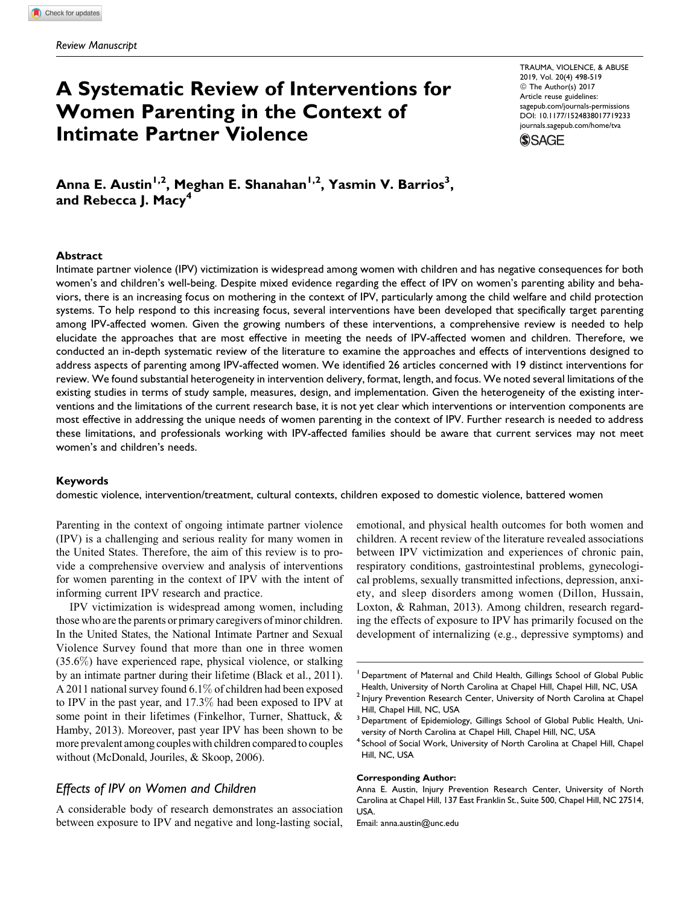# A Systematic Review of Interventions for Women Parenting in the Context of Intimate Partner Violence

TRAUMA, VIOLENCE, & ABUSE 2019, Vol. 20(4) 498-519 © The Author(s) 2017 Article reuse guidelines: [sagepub.com/journals-permissions](https://sagepub.com/journals-permissions) [DOI: 10.1177/1524838017719233](https://doi.org/10.1177/1524838017719233) [journals.sagepub.com/home/tva](http://journals.sagepub.com/home/tva)



Anna E. Austin<sup>1,2</sup>, Meghan E. Shanahan<sup>1,2</sup>, Yasmin V. Barrios<sup>3</sup>, and Rebecca J. Macy<sup>4</sup>

## Abstract

Intimate partner violence (IPV) victimization is widespread among women with children and has negative consequences for both women's and children's well-being. Despite mixed evidence regarding the effect of IPV on women's parenting ability and behaviors, there is an increasing focus on mothering in the context of IPV, particularly among the child welfare and child protection systems. To help respond to this increasing focus, several interventions have been developed that specifically target parenting among IPV-affected women. Given the growing numbers of these interventions, a comprehensive review is needed to help elucidate the approaches that are most effective in meeting the needs of IPV-affected women and children. Therefore, we conducted an in-depth systematic review of the literature to examine the approaches and effects of interventions designed to address aspects of parenting among IPV-affected women. We identified 26 articles concerned with 19 distinct interventions for review. We found substantial heterogeneity in intervention delivery, format, length, and focus. We noted several limitations of the existing studies in terms of study sample, measures, design, and implementation. Given the heterogeneity of the existing interventions and the limitations of the current research base, it is not yet clear which interventions or intervention components are most effective in addressing the unique needs of women parenting in the context of IPV. Further research is needed to address these limitations, and professionals working with IPV-affected families should be aware that current services may not meet women's and children's needs.

#### Keywords

domestic violence, intervention/treatment, cultural contexts, children exposed to domestic violence, battered women

Parenting in the context of ongoing intimate partner violence (IPV) is a challenging and serious reality for many women in the United States. Therefore, the aim of this review is to provide a comprehensive overview and analysis of interventions for women parenting in the context of IPV with the intent of informing current IPV research and practice.

IPV victimization is widespread among women, including those who are the parents or primary caregivers of minor children. In the United States, the National Intimate Partner and Sexual Violence Survey found that more than one in three women (35.6%) have experienced rape, physical violence, or stalking by an intimate partner during their lifetime (Black et al., 2011). A 2011 national survey found 6.1% of children had been exposed to IPV in the past year, and 17.3% had been exposed to IPV at some point in their lifetimes (Finkelhor, Turner, Shattuck, & Hamby, 2013). Moreover, past year IPV has been shown to be more prevalent among couples with children compared to couples without (McDonald, Jouriles, & Skoop, 2006).

# Effects of IPV on Women and Children

A considerable body of research demonstrates an association between exposure to IPV and negative and long-lasting social,

emotional, and physical health outcomes for both women and children. A recent review of the literature revealed associations between IPV victimization and experiences of chronic pain, respiratory conditions, gastrointestinal problems, gynecological problems, sexually transmitted infections, depression, anxiety, and sleep disorders among women (Dillon, Hussain, Loxton, & Rahman, 2013). Among children, research regarding the effects of exposure to IPV has primarily focused on the development of internalizing (e.g., depressive symptoms) and

#### Corresponding Author:

Anna E. Austin, Injury Prevention Research Center, University of North Carolina at Chapel Hill, 137 East Franklin St., Suite 500, Chapel Hill, NC 27514, USA.

Email: anna.austin@unc.edu

<sup>&</sup>lt;sup>1</sup> Department of Maternal and Child Health, Gillings School of Global Public Health, University of North Carolina at Chapel Hill, Chapel Hill, NC, USA

 $2$  Injury Prevention Research Center, University of North Carolina at Chapel Hill, Chapel Hill, NC, USA

<sup>3</sup> Department of Epidemiology, Gillings School of Global Public Health, University of North Carolina at Chapel Hill, Chapel Hill, NC, USA

<sup>&</sup>lt;sup>4</sup> School of Social Work, University of North Carolina at Chapel Hill, Chapel Hill, NC, USA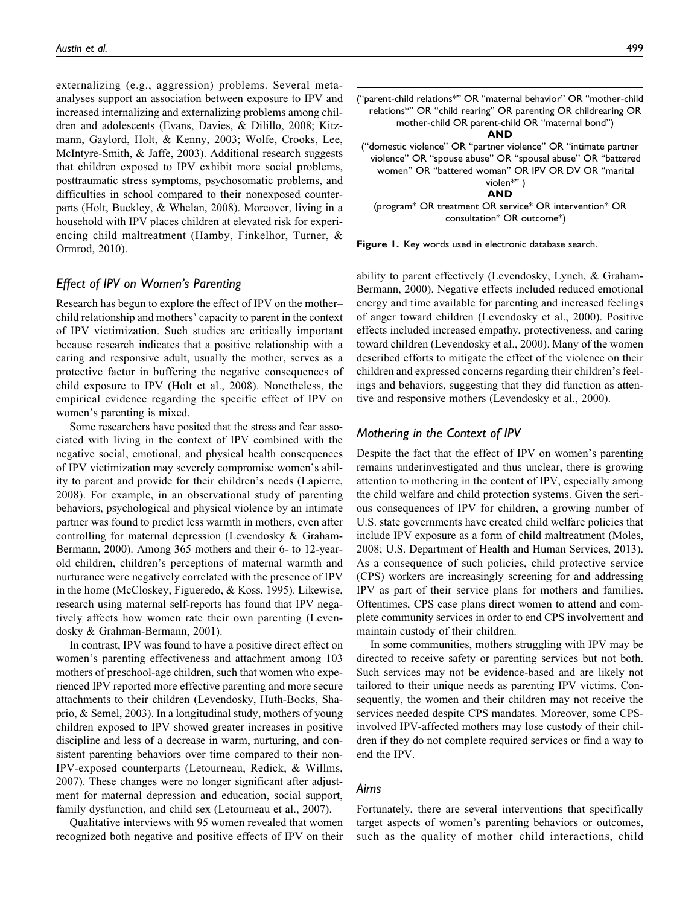externalizing (e.g., aggression) problems. Several metaanalyses support an association between exposure to IPV and increased internalizing and externalizing problems among children and adolescents (Evans, Davies, & Dilillo, 2008; Kitzmann, Gaylord, Holt, & Kenny, 2003; Wolfe, Crooks, Lee, McIntyre-Smith, & Jaffe, 2003). Additional research suggests that children exposed to IPV exhibit more social problems, posttraumatic stress symptoms, psychosomatic problems, and difficulties in school compared to their nonexposed counterparts (Holt, Buckley, & Whelan, 2008). Moreover, living in a household with IPV places children at elevated risk for experiencing child maltreatment (Hamby, Finkelhor, Turner, & Ormrod, 2010).

# Effect of IPV on Women's Parenting

Research has begun to explore the effect of IPV on the mother– child relationship and mothers' capacity to parent in the context of IPV victimization. Such studies are critically important because research indicates that a positive relationship with a caring and responsive adult, usually the mother, serves as a protective factor in buffering the negative consequences of child exposure to IPV (Holt et al., 2008). Nonetheless, the empirical evidence regarding the specific effect of IPV on women's parenting is mixed.

Some researchers have posited that the stress and fear associated with living in the context of IPV combined with the negative social, emotional, and physical health consequences of IPV victimization may severely compromise women's ability to parent and provide for their children's needs (Lapierre, 2008). For example, in an observational study of parenting behaviors, psychological and physical violence by an intimate partner was found to predict less warmth in mothers, even after controlling for maternal depression (Levendosky & Graham-Bermann, 2000). Among 365 mothers and their 6- to 12-yearold children, children's perceptions of maternal warmth and nurturance were negatively correlated with the presence of IPV in the home (McCloskey, Figueredo, & Koss, 1995). Likewise, research using maternal self-reports has found that IPV negatively affects how women rate their own parenting (Levendosky & Grahman-Bermann, 2001).

In contrast, IPV was found to have a positive direct effect on women's parenting effectiveness and attachment among 103 mothers of preschool-age children, such that women who experienced IPV reported more effective parenting and more secure attachments to their children (Levendosky, Huth-Bocks, Shaprio, & Semel, 2003). In a longitudinal study, mothers of young children exposed to IPV showed greater increases in positive discipline and less of a decrease in warm, nurturing, and consistent parenting behaviors over time compared to their non-IPV-exposed counterparts (Letourneau, Redick, & Willms, 2007). These changes were no longer significant after adjustment for maternal depression and education, social support, family dysfunction, and child sex (Letourneau et al., 2007).

Qualitative interviews with 95 women revealed that women recognized both negative and positive effects of IPV on their

| ("parent-child relations*" OR "maternal behavior" OR "mother-child")<br>relations*" OR "child rearing" OR parenting OR childrearing OR<br>mother-child OR parent-child OR "maternal bond")         |
|----------------------------------------------------------------------------------------------------------------------------------------------------------------------------------------------------|
| AND                                                                                                                                                                                                |
| "domestic violence" OR "partner violence" OR "intimate partner"<br>violence" OR "spouse abuse" OR "spousal abuse" OR "battered<br>women" OR "battered woman" OR IPV OR DV OR "marital<br>violen*") |
| <b>AND</b>                                                                                                                                                                                         |
| (program* OR treatment OR service* OR intervention* OR<br>consultation* OR outcome*)                                                                                                               |

|  |  |  |  |  |  | Figure 1. Key words used in electronic database search. |  |  |
|--|--|--|--|--|--|---------------------------------------------------------|--|--|
|--|--|--|--|--|--|---------------------------------------------------------|--|--|

ability to parent effectively (Levendosky, Lynch, & Graham-Bermann, 2000). Negative effects included reduced emotional energy and time available for parenting and increased feelings of anger toward children (Levendosky et al., 2000). Positive effects included increased empathy, protectiveness, and caring toward children (Levendosky et al., 2000). Many of the women described efforts to mitigate the effect of the violence on their children and expressed concerns regarding their children's feelings and behaviors, suggesting that they did function as attentive and responsive mothers (Levendosky et al., 2000).

## Mothering in the Context of IPV

Despite the fact that the effect of IPV on women's parenting remains underinvestigated and thus unclear, there is growing attention to mothering in the content of IPV, especially among the child welfare and child protection systems. Given the serious consequences of IPV for children, a growing number of U.S. state governments have created child welfare policies that include IPV exposure as a form of child maltreatment (Moles, 2008; U.S. Department of Health and Human Services, 2013). As a consequence of such policies, child protective service (CPS) workers are increasingly screening for and addressing IPV as part of their service plans for mothers and families. Oftentimes, CPS case plans direct women to attend and complete community services in order to end CPS involvement and maintain custody of their children.

In some communities, mothers struggling with IPV may be directed to receive safety or parenting services but not both. Such services may not be evidence-based and are likely not tailored to their unique needs as parenting IPV victims. Consequently, the women and their children may not receive the services needed despite CPS mandates. Moreover, some CPSinvolved IPV-affected mothers may lose custody of their children if they do not complete required services or find a way to end the IPV.

#### Aims

Fortunately, there are several interventions that specifically target aspects of women's parenting behaviors or outcomes, such as the quality of mother–child interactions, child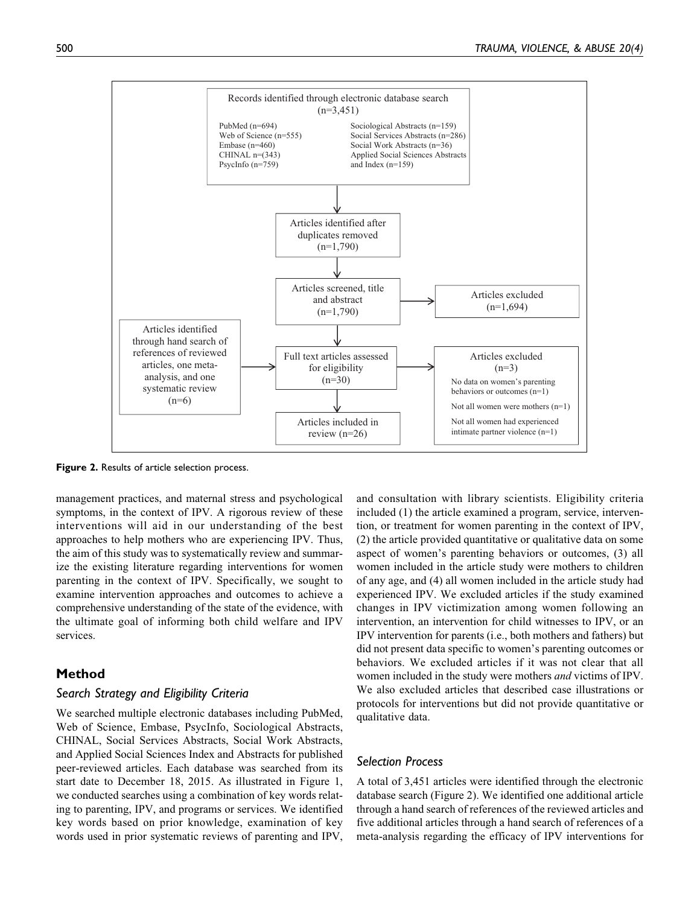

Figure 2. Results of article selection process.

management practices, and maternal stress and psychological symptoms, in the context of IPV. A rigorous review of these interventions will aid in our understanding of the best approaches to help mothers who are experiencing IPV. Thus, the aim of this study was to systematically review and summarize the existing literature regarding interventions for women parenting in the context of IPV. Specifically, we sought to examine intervention approaches and outcomes to achieve a comprehensive understanding of the state of the evidence, with the ultimate goal of informing both child welfare and IPV services.

# Method

## Search Strategy and Eligibility Criteria

We searched multiple electronic databases including PubMed, Web of Science, Embase, PsycInfo, Sociological Abstracts, CHINAL, Social Services Abstracts, Social Work Abstracts, and Applied Social Sciences Index and Abstracts for published peer-reviewed articles. Each database was searched from its start date to December 18, 2015. As illustrated in Figure 1, we conducted searches using a combination of key words relating to parenting, IPV, and programs or services. We identified key words based on prior knowledge, examination of key words used in prior systematic reviews of parenting and IPV, and consultation with library scientists. Eligibility criteria included (1) the article examined a program, service, intervention, or treatment for women parenting in the context of IPV, (2) the article provided quantitative or qualitative data on some aspect of women's parenting behaviors or outcomes, (3) all women included in the article study were mothers to children of any age, and (4) all women included in the article study had experienced IPV. We excluded articles if the study examined changes in IPV victimization among women following an intervention, an intervention for child witnesses to IPV, or an IPV intervention for parents (i.e., both mothers and fathers) but did not present data specific to women's parenting outcomes or behaviors. We excluded articles if it was not clear that all women included in the study were mothers and victims of IPV. We also excluded articles that described case illustrations or protocols for interventions but did not provide quantitative or qualitative data.

# Selection Process

A total of 3,451 articles were identified through the electronic database search (Figure 2). We identified one additional article through a hand search of references of the reviewed articles and five additional articles through a hand search of references of a meta-analysis regarding the efficacy of IPV interventions for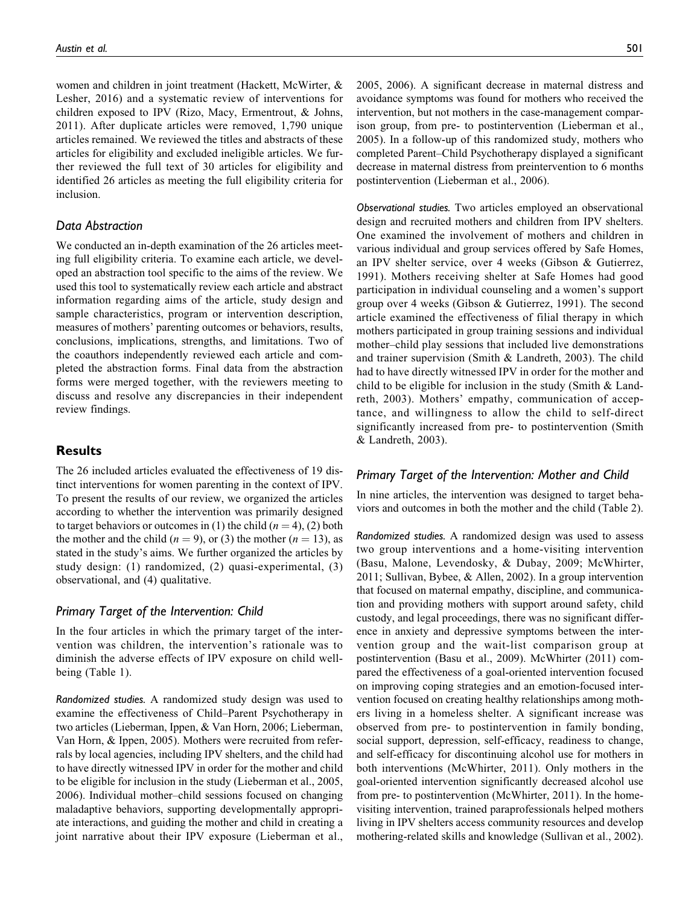women and children in joint treatment (Hackett, McWirter, & Lesher, 2016) and a systematic review of interventions for children exposed to IPV (Rizo, Macy, Ermentrout, & Johns, 2011). After duplicate articles were removed, 1,790 unique articles remained. We reviewed the titles and abstracts of these articles for eligibility and excluded ineligible articles. We further reviewed the full text of 30 articles for eligibility and identified 26 articles as meeting the full eligibility criteria for inclusion.

### Data Abstraction

We conducted an in-depth examination of the 26 articles meeting full eligibility criteria. To examine each article, we developed an abstraction tool specific to the aims of the review. We used this tool to systematically review each article and abstract information regarding aims of the article, study design and sample characteristics, program or intervention description, measures of mothers' parenting outcomes or behaviors, results, conclusions, implications, strengths, and limitations. Two of the coauthors independently reviewed each article and completed the abstraction forms. Final data from the abstraction forms were merged together, with the reviewers meeting to discuss and resolve any discrepancies in their independent review findings.

# **Results**

The 26 included articles evaluated the effectiveness of 19 distinct interventions for women parenting in the context of IPV. To present the results of our review, we organized the articles according to whether the intervention was primarily designed to target behaviors or outcomes in (1) the child  $(n = 4)$ , (2) both the mother and the child ( $n = 9$ ), or (3) the mother ( $n = 13$ ), as stated in the study's aims. We further organized the articles by study design: (1) randomized, (2) quasi-experimental, (3) observational, and (4) qualitative.

## Primary Target of the Intervention: Child

In the four articles in which the primary target of the intervention was children, the intervention's rationale was to diminish the adverse effects of IPV exposure on child wellbeing (Table 1).

Randomized studies. A randomized study design was used to examine the effectiveness of Child–Parent Psychotherapy in two articles (Lieberman, Ippen, & Van Horn, 2006; Lieberman, Van Horn, & Ippen, 2005). Mothers were recruited from referrals by local agencies, including IPV shelters, and the child had to have directly witnessed IPV in order for the mother and child to be eligible for inclusion in the study (Lieberman et al., 2005, 2006). Individual mother–child sessions focused on changing maladaptive behaviors, supporting developmentally appropriate interactions, and guiding the mother and child in creating a joint narrative about their IPV exposure (Lieberman et al., 2005, 2006). A significant decrease in maternal distress and avoidance symptoms was found for mothers who received the intervention, but not mothers in the case-management comparison group, from pre- to postintervention (Lieberman et al., 2005). In a follow-up of this randomized study, mothers who completed Parent–Child Psychotherapy displayed a significant decrease in maternal distress from preintervention to 6 months postintervention (Lieberman et al., 2006).

Observational studies. Two articles employed an observational design and recruited mothers and children from IPV shelters. One examined the involvement of mothers and children in various individual and group services offered by Safe Homes, an IPV shelter service, over 4 weeks (Gibson & Gutierrez, 1991). Mothers receiving shelter at Safe Homes had good participation in individual counseling and a women's support group over 4 weeks (Gibson & Gutierrez, 1991). The second article examined the effectiveness of filial therapy in which mothers participated in group training sessions and individual mother–child play sessions that included live demonstrations and trainer supervision (Smith & Landreth, 2003). The child had to have directly witnessed IPV in order for the mother and child to be eligible for inclusion in the study (Smith & Landreth, 2003). Mothers' empathy, communication of acceptance, and willingness to allow the child to self-direct significantly increased from pre- to postintervention (Smith & Landreth, 2003).

# Primary Target of the Intervention: Mother and Child

In nine articles, the intervention was designed to target behaviors and outcomes in both the mother and the child (Table 2).

Randomized studies. A randomized design was used to assess two group interventions and a home-visiting intervention (Basu, Malone, Levendosky, & Dubay, 2009; McWhirter, 2011; Sullivan, Bybee, & Allen, 2002). In a group intervention that focused on maternal empathy, discipline, and communication and providing mothers with support around safety, child custody, and legal proceedings, there was no significant difference in anxiety and depressive symptoms between the intervention group and the wait-list comparison group at postintervention (Basu et al., 2009). McWhirter (2011) compared the effectiveness of a goal-oriented intervention focused on improving coping strategies and an emotion-focused intervention focused on creating healthy relationships among mothers living in a homeless shelter. A significant increase was observed from pre- to postintervention in family bonding, social support, depression, self-efficacy, readiness to change, and self-efficacy for discontinuing alcohol use for mothers in both interventions (McWhirter, 2011). Only mothers in the goal-oriented intervention significantly decreased alcohol use from pre- to postintervention (McWhirter, 2011). In the homevisiting intervention, trained paraprofessionals helped mothers living in IPV shelters access community resources and develop mothering-related skills and knowledge (Sullivan et al., 2002).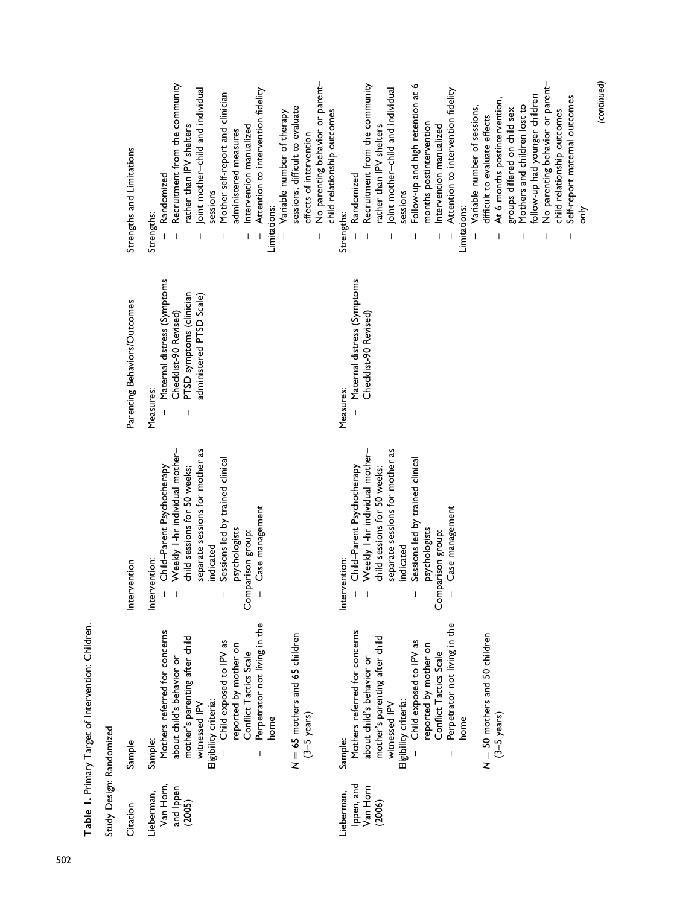| Study Design: Randomized                       |                                                                                                                                                                                                                                                                                                                                       |                                                                                                                                                                                                                                                                                                                                                                                                                                                                                                                                                                                                                                                                                                 |                                                                                                                           |                                                                                                                                                                                                                                                                                                                                                                                                                                                                                                                                                                                                     |
|------------------------------------------------|---------------------------------------------------------------------------------------------------------------------------------------------------------------------------------------------------------------------------------------------------------------------------------------------------------------------------------------|-------------------------------------------------------------------------------------------------------------------------------------------------------------------------------------------------------------------------------------------------------------------------------------------------------------------------------------------------------------------------------------------------------------------------------------------------------------------------------------------------------------------------------------------------------------------------------------------------------------------------------------------------------------------------------------------------|---------------------------------------------------------------------------------------------------------------------------|-----------------------------------------------------------------------------------------------------------------------------------------------------------------------------------------------------------------------------------------------------------------------------------------------------------------------------------------------------------------------------------------------------------------------------------------------------------------------------------------------------------------------------------------------------------------------------------------------------|
| Citation                                       | Sample                                                                                                                                                                                                                                                                                                                                | ention<br>Interv                                                                                                                                                                                                                                                                                                                                                                                                                                                                                                                                                                                                                                                                                | Parenting Behaviors/Outcomes                                                                                              | Strengths and Limitations                                                                                                                                                                                                                                                                                                                                                                                                                                                                                                                                                                           |
| Van Horn,<br>and Ippen<br>Lieberman,<br>(2005) | Perpetrator not living in the<br>Mothers referred for concerns<br>$N = 65$ mothers and 65 children<br>mother's parenting after child<br>Child exposed to IPV as<br>reported by mother on<br>Conflict Tactics Scale<br>about child's behavior or<br>Eligibility criteria:<br>witnessed IPV<br>$(3-5 \text{ years})$<br>home<br>Sample: | Weekly I-hr individual mother-<br>separate sessions for mother as<br>Sessions led by trained clinical<br>child sessions for 50 weeks;<br>Child-Parent Psychotherapy<br>Case management<br>psychologists<br>Comparison group:<br>indicated<br>ention:<br>Interv<br>$\overline{\phantom{a}}$<br>$\overline{1}$                                                                                                                                                                                                                                                                                                                                                                                    | Maternal distress (Symptoms<br>PTSD symptoms (clinician<br>administered PTSD Scale)<br>Checklist-90 Revised)<br>Measures: | No parenting behavior or parent-<br>Recruitment from the community<br>oint mother-child and individual<br>Attention to intervention fidelity<br>Mother self-report and clinician<br>sessions, difficult to evaluate<br>child relationship outcomes<br>Variable number of therapy<br>ather than IPV shelters<br>Intervention manualized<br>administered measures<br>effects of intervention<br>Randomized<br>sessions<br>Limitations:<br>Strengths:<br>$\overline{\phantom{a}}$                                                                                                                      |
| Ippen, and<br>Van Horn<br>Lieberman,<br>(2006) | Perpetrator not living in the<br>Mothers referred for concerns<br>$N = 50$ mothers and 50 children<br>mother's parenting after child<br>Child exposed to IPV as<br>reported by mother on<br>Conflict Tactics Scale<br>about child's behavior or<br>Eligibility criteria:<br>witnessed IPV<br>$(3-5 \text{ years})$<br>home<br>Sample: | separate sessions for mother as<br>Weekly I-hr individual mother-<br>Sessions led by trained clinical<br>Child-Parent Psychotherapy<br>child sessions for 50 weeks;<br>Case management<br>psychologists<br>Comparison group:<br>indicated<br>ention:<br>Intery<br>$\begin{array}{c} \rule{0pt}{2ex} \rule{0pt}{2ex} \rule{0pt}{2ex} \rule{0pt}{2ex} \rule{0pt}{2ex} \rule{0pt}{2ex} \rule{0pt}{2ex} \rule{0pt}{2ex} \rule{0pt}{2ex} \rule{0pt}{2ex} \rule{0pt}{2ex} \rule{0pt}{2ex} \rule{0pt}{2ex} \rule{0pt}{2ex} \rule{0pt}{2ex} \rule{0pt}{2ex} \rule{0pt}{2ex} \rule{0pt}{2ex} \rule{0pt}{2ex} \rule{0pt}{2ex} \rule{0pt}{2ex} \rule{0pt}{2ex} \rule{0pt}{2ex} \rule{0pt}{$<br>$\mathsf I$ | Maternal distress (Symptoms<br>Checklist-90 Revised)<br>Measures:                                                         | No parenting behavior or parent-<br>Follow-up and high retention at 6<br>Recruitment from the community<br>oint mother-child and individual<br>Attention to intervention fidelity<br>ollow-up had younger children<br>Self-report maternal outcomes<br>At 6 months postintervention,<br>Mothers and children lost to<br>Variable number of sessions,<br>groups differed on child sex<br>child relationship outcomes<br>difficult to evaluate effects<br>months postintervention<br>Intervention manualized<br>rather than IPV shelters<br>Randomized<br>sessions<br>Limitations:<br>έ<br>Strengths: |

Table 1. Primary Target of Intervention: Children. Table 1. Primary Target of Intervention: Children.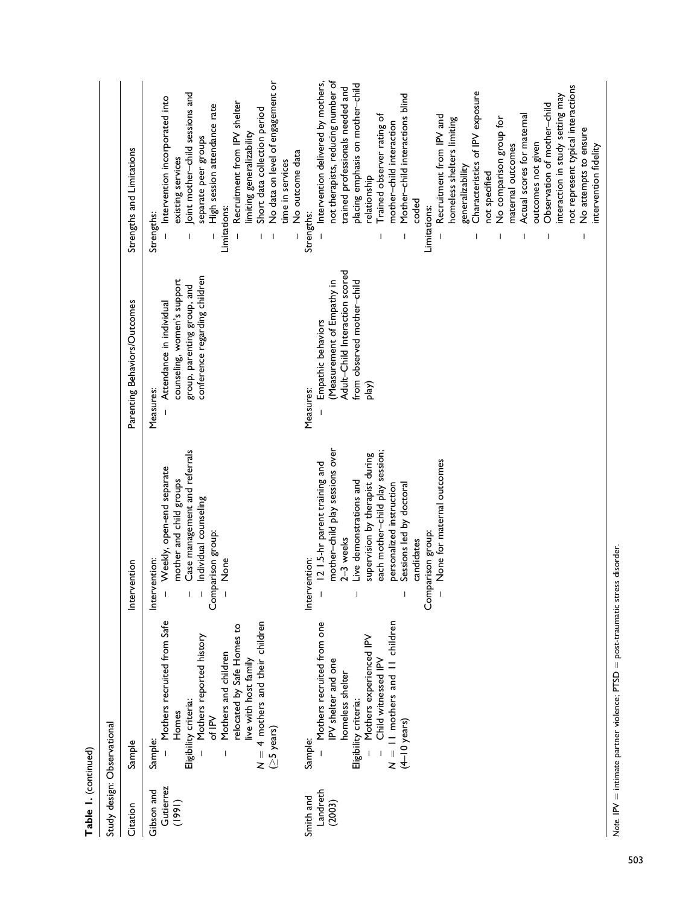| Study design: Observational<br>Table 1. (continued) |                                                                                                                                                                                                                                                          |                                                                                                                                                                                                                                                                                                                          |                                                                                                                                        |                                                                                                                                                                                                                                                                                                                                                                                                                                                                                                                                                                                                                                                                                                                                   |
|-----------------------------------------------------|----------------------------------------------------------------------------------------------------------------------------------------------------------------------------------------------------------------------------------------------------------|--------------------------------------------------------------------------------------------------------------------------------------------------------------------------------------------------------------------------------------------------------------------------------------------------------------------------|----------------------------------------------------------------------------------------------------------------------------------------|-----------------------------------------------------------------------------------------------------------------------------------------------------------------------------------------------------------------------------------------------------------------------------------------------------------------------------------------------------------------------------------------------------------------------------------------------------------------------------------------------------------------------------------------------------------------------------------------------------------------------------------------------------------------------------------------------------------------------------------|
| Citation                                            | Sample                                                                                                                                                                                                                                                   | Intervention                                                                                                                                                                                                                                                                                                             | Parenting Behaviors/Outcomes                                                                                                           | Strengths and Limitations                                                                                                                                                                                                                                                                                                                                                                                                                                                                                                                                                                                                                                                                                                         |
| Gutierrez<br>Gibson and<br>(1991)                   | Mothers recruited from Safe<br>$N = 4$ mothers and their children<br>relocated by Safe Homes to<br>Mothers reported history<br>Mothers and children<br>live with host family<br>Eligibility criteria:<br>Homes<br>of IPV<br>$( \geq 5$ years)<br>Sample: | Case management and referrals<br>Weekly, open-end separate<br>mother and child groups<br>Individual counseling<br>Comparison group:<br>Intervention:<br>None                                                                                                                                                             | conference regarding children<br>counseling, women's support<br>group, parenting group, and<br>Attendance in individual<br>Measures:   | No data on level of engagement or<br>Joint mother-child sessions and<br>Intervention incorporated into<br>Recruitment from IPV shelter<br>High session attendance rate<br>Short data collection period<br>limiting generalizability<br>separate peer groups<br>No outcome data<br>existing services<br>time in services<br>Limitations:<br>Strengths:<br>$\overline{\phantom{a}}$<br>$\overline{\phantom{a}}$                                                                                                                                                                                                                                                                                                                     |
| Landreth<br>Smith and<br>(2003)                     | $N = 11$ mothers and $11$ children<br>Mothers recruited from one<br>Mothers experienced IPV<br>Child witnessed IPV<br>IPV shelter and one<br>homeless shelter<br>Eligibility criteria:<br>$(4-10$ years)<br>Sample:                                      | mother-child play sessions over<br>each mother-child play session;<br>supervision by therapist during<br>None for maternal outcomes<br>12 1.5-hr parent training and<br>Live demonstrations and<br>personalized instruction<br>Sessions led by doctoral<br>Comparison group:<br>2-3 weeks<br>candidates<br>Intervention: | Adult-Child Interaction scored<br>(Measurement of Empathy in<br>from observed mother-child<br>Empathic behaviors<br>play)<br>Measures: | Intervention delivered by mothers,<br>not therapists, reducing number of<br>placing emphasis on mother-child<br>not represent typical interactions<br>trained professionals needed and<br>Characteristics of IPV exposure<br>Mother-child interactions blind<br>interaction in study setting may<br>Observation of mother-child<br>Trained observer rating of<br>Actual scores for maternal<br>Recruitment from IPV and<br>No comparison group for<br>homeless shelters limiting<br>mother-child interaction<br>No attempts to ensure<br>outcomes not given<br>maternal outcomes<br>intervention fidelity<br>generalizability<br>not specified<br>relationship<br>coded<br>Limitations:<br>Strengths:<br>$\overline{\phantom{a}}$ |

Note. IPV = intimate partner violence;  $PTSD = post-tra$ umatic stress disorder. Note. IPV  $=$  intimate partner violence; PTSD  $=$  post-traumatic stress disorder.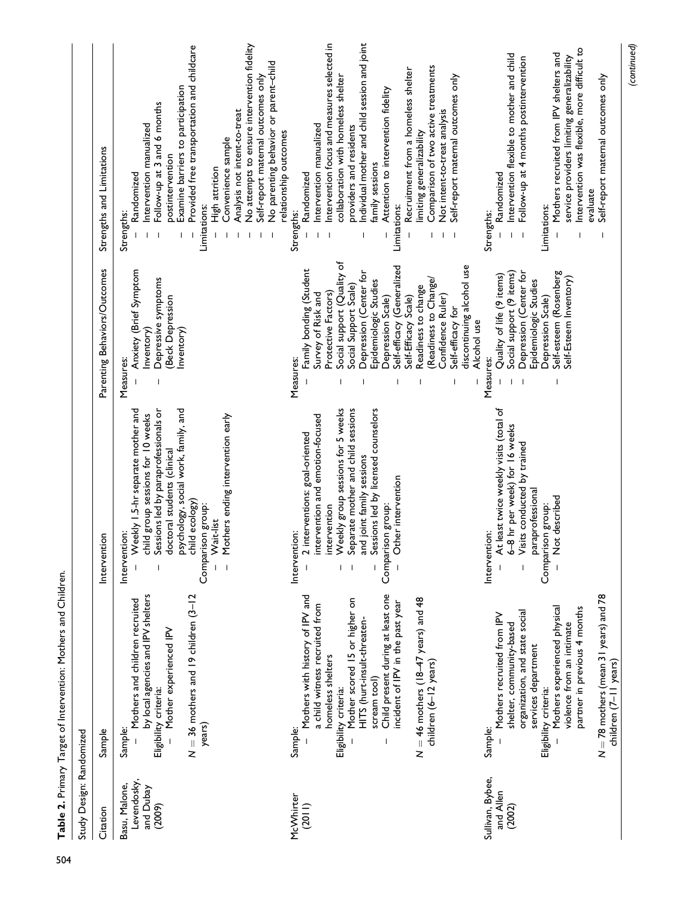| Study Design: Randomized                            |                                                                                                                                                                                                                                                                                                                                                       |                                                                                                                                                                                                                                                                                                            |                                                                                                                                                                                                                                                                                                                                                                                               |                                                                                                                                                                                                                                                                                                                                                                                                                                                                                                          |
|-----------------------------------------------------|-------------------------------------------------------------------------------------------------------------------------------------------------------------------------------------------------------------------------------------------------------------------------------------------------------------------------------------------------------|------------------------------------------------------------------------------------------------------------------------------------------------------------------------------------------------------------------------------------------------------------------------------------------------------------|-----------------------------------------------------------------------------------------------------------------------------------------------------------------------------------------------------------------------------------------------------------------------------------------------------------------------------------------------------------------------------------------------|----------------------------------------------------------------------------------------------------------------------------------------------------------------------------------------------------------------------------------------------------------------------------------------------------------------------------------------------------------------------------------------------------------------------------------------------------------------------------------------------------------|
| Citation                                            | Sample                                                                                                                                                                                                                                                                                                                                                | Intervention                                                                                                                                                                                                                                                                                               | Parenting Behaviors/Outcomes                                                                                                                                                                                                                                                                                                                                                                  | Strengths and Limitations                                                                                                                                                                                                                                                                                                                                                                                                                                                                                |
| Levendosky,<br>Basu, Malone,<br>and Dubay<br>(2009) | by local agencies and IPV shelters<br>$N = 36$ mothers and 19 children (3-12<br>Mothers and children recruited<br>Mother experienced IPV<br>Eligibility criteria:<br>years)<br>Sample:                                                                                                                                                                | Weekly 1.5-hr separate mother and<br>Sessions led by paraprofessionals or<br>osychology, social work, family, and<br>child group sessions for 10 weeks<br>Mothers ending intervention early<br>doctoral students (clinical<br>thild ecology)<br>Comparison group:<br>Wait-list<br>Intervention:            | Anxiety (Brief Symptom<br>Depressive symptoms<br><b>Beck Depression</b><br>Inventory)<br>nventory)<br>Measures:                                                                                                                                                                                                                                                                               | No attempts to ensure intervention fidelity<br>Provided free transportation and childcare<br>No parenting behavior or parent-child<br>Self-report maternal outcomes only<br>Examine barriers to participation<br>Follow-up at 3 and 6 months<br>Analysis not intent-to-treat<br>Intervention manualized<br>Convenience sample<br>postintervention<br>High attrition<br>Randomized<br>Limitations:<br>Strengths:                                                                                          |
| McWhirter<br>(2011)                                 | Child present during at least one<br>Mothers with history of IPV and<br>Mother scored 15 or higher on<br>$N = 46$ mothers (18–47 years) and 48<br>incident of IPV in the past year<br>a child witness recruited from<br>HITS (hurt-insult-threaten-<br>homeless shelters<br>children (6-12 years)<br>scream tool)<br>Eligibility criteria:<br>Sample: | Weekly group sessions for 5 weeks<br>separate mother and child sessions<br>Sessions led by licensed counselors<br>ntervention and emotion-focused<br>2 interventions: goal-oriented<br>and joint family sessions<br>Other intervention<br>Comparison group:<br>ntervention<br>Intervention:<br>$\mathsf I$ | Social support (Quality of<br>discontinuing alcohol use<br>Self-efficacy (Generalized<br>Family bonding (Student<br>Depression (Center for<br>(Readiness to Change/<br>Epidemiologic Studies<br>Social Support Scale)<br>Readiness to change<br>Protective Factors)<br>Survey of Risk and<br>Confidence Ruler)<br>Depression Scale)<br>Self-Efficacy Scale)<br>Self-efficacy for<br>Measures: | Individual mother and child session and joint<br>Intervention focus and measures selected in<br>Comparison of two active treatments<br>Recruitment from a homeless shelter<br>collaboration with homeless shelter<br>Self-report maternal outcomes only<br>Attention to intervention fidelity<br>Not intent-to-treat analysis<br>Intervention manualized<br>providers and residents<br>relationship outcomes<br>limiting generalizability<br>family sessions<br>Randomized<br>Limitations:<br>Strengths: |
| Sullivan, Bybee,<br>and Allen<br>(2002)             | N = 78 mothers (mean 31 years) and 78<br>children (7–11 years)<br>Mothers experienced physical<br>partner in previous 4 months<br>organization, and state social<br>Mothers recruited from IPV<br>shelter, community-based<br>violence from an intimate<br>services department<br>Eligibility criteria:<br>Sample:                                    | At least twice weekly visits (total of<br>5-8 hr per week) for 16 weeks<br>Visits conducted by trained<br>paraprofessional<br>Not described<br>Comparison group:<br>Intervention:                                                                                                                          | Depression (Center for<br>Self-esteem (Rosenberg<br>Social support (9 items)<br>Quality of life (9 items)<br>Self-Esteem Inventory)<br>Epidemiologic Studies<br>Depression Scale)<br>Alcohol use<br>Measures:<br>-1                                                                                                                                                                           | Intervention was flexible, more difficult to<br>Intervention flexible to mother and child<br>Mothers recruited from IPV shelters and<br>Follow-up at 4 months postintervention<br>service providers limiting generalizability<br>Self-report maternal outcomes only<br>Randomized<br>evaluate<br>Limitations:<br>Strengths:                                                                                                                                                                              |

(continued)

Table 2. Primary Target of Intervention: Mothers and Children.

Table 2. Primary Target of Intervention: Mothers and Children.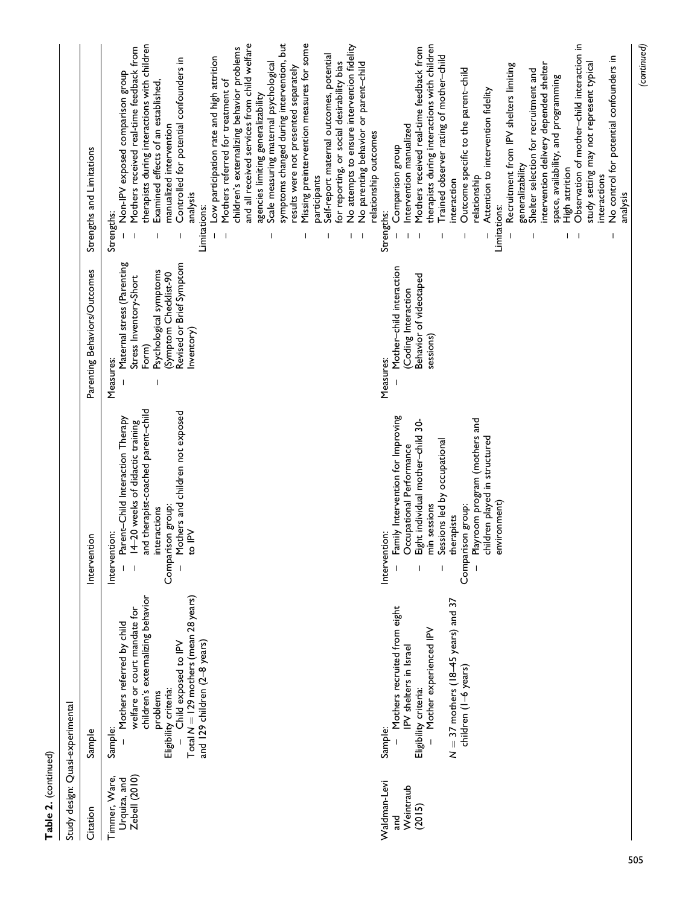| t |
|---|
|   |
|   |
|   |
|   |
|   |
|   |
|   |

|   | J    |  |
|---|------|--|
| i | ֚֡֡֡ |  |
|   |      |  |

| Citation                                              | Sample                                                                                                                                                                                                                                            | Intervention                                                                                                                                                                                                                                                                             | Parenting Behaviors/Outcomes                                                                                                                                           | Strengths and Limitations                                                                                                                                                                                                                                                                                                                                                                                                                                                                                                                                                                                                                                                                                                                                                                                                                                                                                        |
|-------------------------------------------------------|---------------------------------------------------------------------------------------------------------------------------------------------------------------------------------------------------------------------------------------------------|------------------------------------------------------------------------------------------------------------------------------------------------------------------------------------------------------------------------------------------------------------------------------------------|------------------------------------------------------------------------------------------------------------------------------------------------------------------------|------------------------------------------------------------------------------------------------------------------------------------------------------------------------------------------------------------------------------------------------------------------------------------------------------------------------------------------------------------------------------------------------------------------------------------------------------------------------------------------------------------------------------------------------------------------------------------------------------------------------------------------------------------------------------------------------------------------------------------------------------------------------------------------------------------------------------------------------------------------------------------------------------------------|
| <b>Zebell</b> (2010)<br>Timmer, Ware,<br>Urquiza, and | - Child exposed to IPV<br>Total N = 129 mothers (mean 28 years)<br>children's externalizing behavior<br>welfare or court mandate for<br>Mothers referred by child<br>and 129 children (2-8 years)<br>Eligibility criteria:<br>problems<br>Sample: | and therapist-coached parent-child<br>Mothers and children not exposed<br>Parent-Child Interaction Therapy<br>14-20 weeks of didactic training<br>Comparison group:<br>interactions<br>val op<br>Intervention:                                                                           | Maternal stress (Parenting<br>Revised or Brief Symptom<br>Psychological symptoms<br>(Symptom Checklist-90<br>Stress Inventory-Short<br>nventory)<br>Form)<br>Measures: | symptoms changed during intervention, but<br>therapists during interactions with children<br>and all received services from child welfare<br>Missing preintervention measures for some<br>No attempts to ensure intervention fidelity<br>Mothers received real-time feedback from<br>children's externalizing behavior problems<br>Self-report maternal outcomes, potential<br>Low participation rate and high attrition<br>Controlled for potential confounders in<br>for reporting, or social desirability bias<br>Scale measuring maternal psychological<br>No parenting behavior or parent-child<br>results were not presented separately<br>Non-IPV exposed comparison group<br>Mothers referred for treatment of<br>Examined effects of an established<br>agencies limiting generalizability<br>manualized intervention<br>relationship outcomes<br>participants<br>analysis<br>Limitations:<br>Strengths: |
| Waldman-Levi<br>Weintraub<br>(2015)<br><b>Pd</b>      | $N = 37$ mothers (18–45 years) and 37<br>Mothers recruited from eight<br>Mother experienced IPV<br>IPV shelters in Israel<br>children (I-6 years)<br>Eligibility criteria:<br>Sample:                                                             | Family Intervention for Improving<br>Playroom program (mothers and<br>Occupational Performance<br>Eight individual mother-child 30-<br>min sessions<br>Sessions led by occupational<br>therapists<br>children played in structured<br>environment)<br>Comparison group:<br>Intervention: | Mother-child interaction<br>Behavior of videotaped<br>(Coding Interaction<br>sessions<br>Measures:                                                                     | Observation of mother-child interaction in<br>therapists during interactions with children<br>Mothers received real-time feedback from<br>Trained observer rating of mother-child<br>No control for potential confounders in<br>study setting may not represent typical<br>intervention delivery depended shelter<br>Recruitment from IPV shelters limiting<br>Outcome specific to the parent-child<br>Shelter selection for recruitment and<br>space, availability, and programming<br>Attention to intervention fidelity<br>Intervention manualized<br>Comparison group<br>generalizability<br>High attrition<br>relationship<br>interactions<br>interaction<br>analysis<br>Limitations:<br>Strengths:                                                                                                                                                                                                         |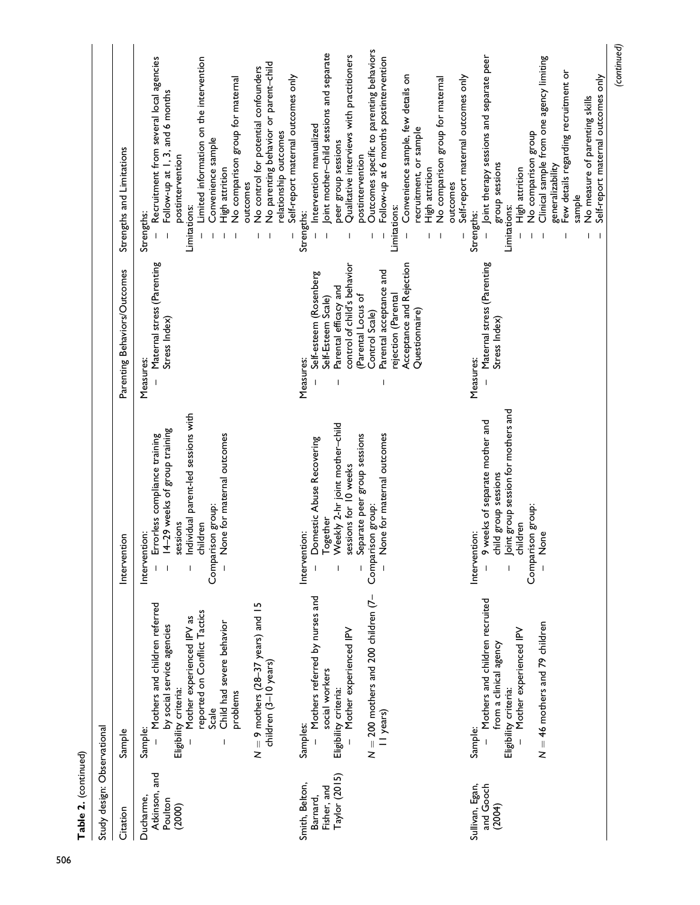| Table 2. (continued)                            |                                                                                                                                                                                                                                                                                    |                                                                                                                                                                                                                                                |                                                                                                                            |                                                                                                                                                                                                                                                                                                                                            |
|-------------------------------------------------|------------------------------------------------------------------------------------------------------------------------------------------------------------------------------------------------------------------------------------------------------------------------------------|------------------------------------------------------------------------------------------------------------------------------------------------------------------------------------------------------------------------------------------------|----------------------------------------------------------------------------------------------------------------------------|--------------------------------------------------------------------------------------------------------------------------------------------------------------------------------------------------------------------------------------------------------------------------------------------------------------------------------------------|
| Study design: Observational                     |                                                                                                                                                                                                                                                                                    |                                                                                                                                                                                                                                                |                                                                                                                            |                                                                                                                                                                                                                                                                                                                                            |
| Citation                                        | Sample                                                                                                                                                                                                                                                                             | Intervention                                                                                                                                                                                                                                   | Parenting Behaviors/Outcomes                                                                                               | Strengths and Limitations                                                                                                                                                                                                                                                                                                                  |
| Atkinson, and<br>Ducharme,<br>Poulton<br>(2000) | Mothers and children referred<br>$N = 9$ mothers (28-37 years) and 15<br>reported on Conflict Tactics<br>Mother experienced IPV as<br>Child had severe behavior<br>by social service agencies<br>Eligibility criteria:<br>children (3-10 years)<br>problems<br>$S$ cale<br>Sample: | Individual parent-led sessions with<br>14-29 weeks of group training<br>None for maternal outcomes<br>Errorless compliance training<br>Comparison group:<br>sessions<br>children<br>Intervention:<br>$\bar{\rm I}$<br>$\overline{\phantom{a}}$ | Maternal stress (Parenting<br>Stress Index)<br>Measures:                                                                   | Recruitment from several local agencies<br>Limited information on the intervention<br>No control for potential confounders<br>No comparison group for maternal<br>Follow-up at 1, 3, and 6 months<br>Convenience sample<br>postintervention<br>High attrition<br>outcomes<br>Limitations:<br>Strengths:                                    |
|                                                 |                                                                                                                                                                                                                                                                                    |                                                                                                                                                                                                                                                |                                                                                                                            | No parenting behavior or parent-child<br>relationship outcomes                                                                                                                                                                                                                                                                             |
| Smith, Belton,                                  | Samples:                                                                                                                                                                                                                                                                           | Intervention:                                                                                                                                                                                                                                  | Measures:                                                                                                                  | Self-report maternal outcomes only<br>Strengths:                                                                                                                                                                                                                                                                                           |
| Taylor (2015)<br>Fisher, and<br>Barnard,        | - Mothers referred by nurses and<br>Mother experienced IPV<br>social workers<br>Eligibility criteria:                                                                                                                                                                              | Weekly 2-hr joint mother-child<br>Separate peer group sessions<br>Domestic Abuse Recovering<br>sessions for 10 weeks<br>Together<br>$\mathsf I$                                                                                                | control of child's behavior<br>Self-esteem (Rosenberg<br>Parental efficacy and<br>(Parental Locus of<br>Self-Esteem Scale) | Joint mother-child sessions and separate<br>Qualitative interviews with practitioners<br>Intervention manualized<br>peer group sessions<br>postintervention                                                                                                                                                                                |
|                                                 | $N = 200$ mothers and 200 children (7–<br>II years)                                                                                                                                                                                                                                | None for maternal outcomes<br>Comparison group:                                                                                                                                                                                                | Acceptance and Rejection<br>Parental acceptance and<br>rejection (Parental<br>Questionnaire)<br>Control Scale)             | Outcomes specific to parenting behaviors<br>Follow-up at 6 months postintervention<br>Convenience sample, few details on<br>Self-report maternal outcomes only<br>No comparison group for maternal<br>recruitment, or sample<br>High attrition<br>outcomes<br>Limitations:<br>-1                                                           |
| Sullivan, Egan,<br>and Gooch<br>(2004)          | - Mothers and children recruited<br>$N = 46$ mothers and 79 children<br>Mother experienced IPV<br>from a clinical agency<br>Eligibility criteria:<br>Sample:                                                                                                                       | Joint group session for mothers and<br>9 weeks of separate mother and<br>child group sessions<br>Comparison group:<br>children<br>Intervention:<br>None<br>$\sf I$                                                                             | Maternal stress (Parenting<br>Stress Index)<br>Measures:                                                                   | Joint therapy sessions and separate peer<br>Clinical sample from one agency limiting<br>Few details regarding recruitment or<br>Self-report maternal outcomes only<br>No measure of parenting skills<br>No comparison group<br>group sessions<br>generalizability<br>High attrition<br>sample<br>Limitations:<br>Strengths:<br>$\mathsf I$ |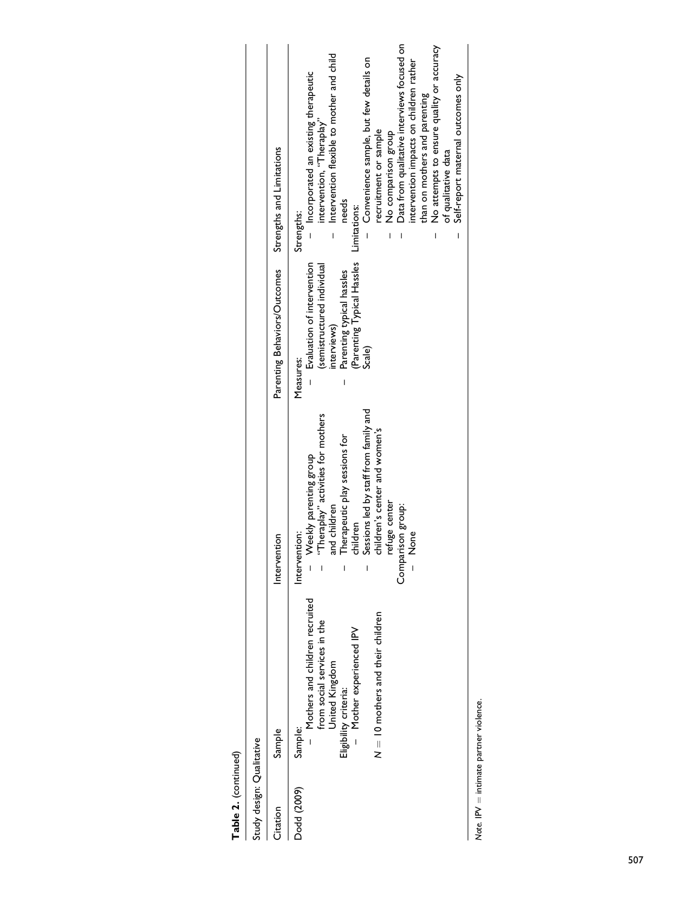| ۰ |
|---|
|   |
| c |
|   |
|   |

| Study design: Qualitative |                                                                                                                                                                                          |                                                                                                                                                                                                                                                                    |                                                                                                                                                               |                                                                                                                                                                                                                                                                                                                                                                                                                                                                                                                            |
|---------------------------|------------------------------------------------------------------------------------------------------------------------------------------------------------------------------------------|--------------------------------------------------------------------------------------------------------------------------------------------------------------------------------------------------------------------------------------------------------------------|---------------------------------------------------------------------------------------------------------------------------------------------------------------|----------------------------------------------------------------------------------------------------------------------------------------------------------------------------------------------------------------------------------------------------------------------------------------------------------------------------------------------------------------------------------------------------------------------------------------------------------------------------------------------------------------------------|
| Citation                  | Sample                                                                                                                                                                                   | Intervention                                                                                                                                                                                                                                                       | Parenting Behaviors/Outcomes                                                                                                                                  | Strengths and Limitations                                                                                                                                                                                                                                                                                                                                                                                                                                                                                                  |
| Dodd (2009)               | - Mothers and children recruited<br>$N = 10$ mothers and their children<br>from social services in the<br>- Mother experienced IPV<br>United Kingdom<br>Eligibility criteria:<br>Sample: | Sessions led by staff from family and<br>"Theraplay" activities for mothers<br>children's center and women's<br>Therapeutic play sessions for<br>Weekly parenting group<br>refuge center<br>and children<br>Comparison group:<br>children<br>Intervention:<br>None | (Parenting Typical Hassles<br>Evaluation of intervention<br>semistructured individual<br>Parenting typical hassles<br>interviews)<br>Scale)<br>Measures:<br>I | Data from qualitative interviews focused on<br>No attempts to ensure quality or accuracy<br>Intervention flexible to mother and child<br>Convenience sample, but few details on<br>intervention impacts on children rather<br>- Incorporated an existing therapeutic<br>Self-report maternal outcomes only<br>than on mothers and parenting<br>intervention, "Theraplay"<br>recruitment or sample<br>No comparison group<br>of qualitative data<br>needs<br>Limitations:<br>Strengths:<br>$\overline{1}$<br>$\overline{1}$ |

 $Note.$  IPV  $=$  intimate partner violence.  $Note.$  IPV  $=$  intimate partner violence.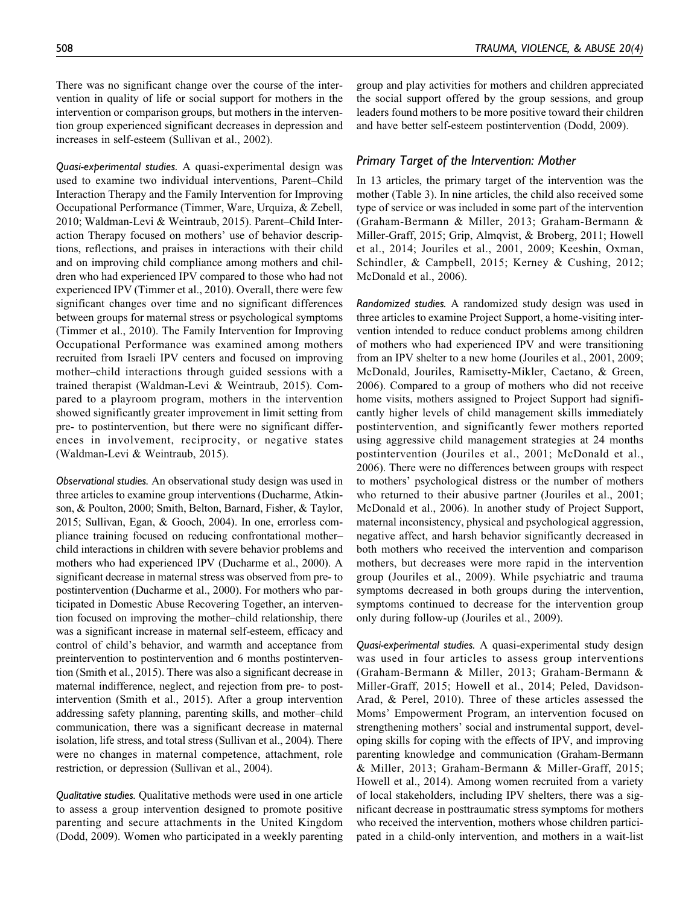There was no significant change over the course of the intervention in quality of life or social support for mothers in the intervention or comparison groups, but mothers in the intervention group experienced significant decreases in depression and increases in self-esteem (Sullivan et al., 2002).

Quasi-experimental studies. A quasi-experimental design was used to examine two individual interventions, Parent–Child Interaction Therapy and the Family Intervention for Improving Occupational Performance (Timmer, Ware, Urquiza, & Zebell, 2010; Waldman-Levi & Weintraub, 2015). Parent–Child Interaction Therapy focused on mothers' use of behavior descriptions, reflections, and praises in interactions with their child and on improving child compliance among mothers and children who had experienced IPV compared to those who had not experienced IPV (Timmer et al., 2010). Overall, there were few significant changes over time and no significant differences between groups for maternal stress or psychological symptoms (Timmer et al., 2010). The Family Intervention for Improving Occupational Performance was examined among mothers recruited from Israeli IPV centers and focused on improving mother–child interactions through guided sessions with a trained therapist (Waldman-Levi & Weintraub, 2015). Compared to a playroom program, mothers in the intervention showed significantly greater improvement in limit setting from pre- to postintervention, but there were no significant differences in involvement, reciprocity, or negative states (Waldman-Levi & Weintraub, 2015).

Observational studies. An observational study design was used in three articles to examine group interventions (Ducharme, Atkinson, & Poulton, 2000; Smith, Belton, Barnard, Fisher, & Taylor, 2015; Sullivan, Egan, & Gooch, 2004). In one, errorless compliance training focused on reducing confrontational mother– child interactions in children with severe behavior problems and mothers who had experienced IPV (Ducharme et al., 2000). A significant decrease in maternal stress was observed from pre- to postintervention (Ducharme et al., 2000). For mothers who participated in Domestic Abuse Recovering Together, an intervention focused on improving the mother–child relationship, there was a significant increase in maternal self-esteem, efficacy and control of child's behavior, and warmth and acceptance from preintervention to postintervention and 6 months postintervention (Smith et al., 2015). There was also a significant decrease in maternal indifference, neglect, and rejection from pre- to postintervention (Smith et al., 2015). After a group intervention addressing safety planning, parenting skills, and mother–child communication, there was a significant decrease in maternal isolation, life stress, and total stress (Sullivan et al., 2004). There were no changes in maternal competence, attachment, role restriction, or depression (Sullivan et al., 2004).

Qualitative studies. Qualitative methods were used in one article to assess a group intervention designed to promote positive parenting and secure attachments in the United Kingdom (Dodd, 2009). Women who participated in a weekly parenting group and play activities for mothers and children appreciated the social support offered by the group sessions, and group leaders found mothers to be more positive toward their children and have better self-esteem postintervention (Dodd, 2009).

## Primary Target of the Intervention: Mother

In 13 articles, the primary target of the intervention was the mother (Table 3). In nine articles, the child also received some type of service or was included in some part of the intervention (Graham-Bermann & Miller, 2013; Graham-Bermann & Miller-Graff, 2015; Grip, Almqvist, & Broberg, 2011; Howell et al., 2014; Jouriles et al., 2001, 2009; Keeshin, Oxman, Schindler, & Campbell, 2015; Kerney & Cushing, 2012; McDonald et al., 2006).

Randomized studies. A randomized study design was used in three articles to examine Project Support, a home-visiting intervention intended to reduce conduct problems among children of mothers who had experienced IPV and were transitioning from an IPV shelter to a new home (Jouriles et al., 2001, 2009; McDonald, Jouriles, Ramisetty-Mikler, Caetano, & Green, 2006). Compared to a group of mothers who did not receive home visits, mothers assigned to Project Support had significantly higher levels of child management skills immediately postintervention, and significantly fewer mothers reported using aggressive child management strategies at 24 months postintervention (Jouriles et al., 2001; McDonald et al., 2006). There were no differences between groups with respect to mothers' psychological distress or the number of mothers who returned to their abusive partner (Jouriles et al., 2001; McDonald et al., 2006). In another study of Project Support, maternal inconsistency, physical and psychological aggression, negative affect, and harsh behavior significantly decreased in both mothers who received the intervention and comparison mothers, but decreases were more rapid in the intervention group (Jouriles et al., 2009). While psychiatric and trauma symptoms decreased in both groups during the intervention, symptoms continued to decrease for the intervention group only during follow-up (Jouriles et al., 2009).

Quasi-experimental studies. A quasi-experimental study design was used in four articles to assess group interventions (Graham-Bermann & Miller, 2013; Graham-Bermann & Miller-Graff, 2015; Howell et al., 2014; Peled, Davidson-Arad, & Perel, 2010). Three of these articles assessed the Moms' Empowerment Program, an intervention focused on strengthening mothers' social and instrumental support, developing skills for coping with the effects of IPV, and improving parenting knowledge and communication (Graham-Bermann & Miller, 2013; Graham-Bermann & Miller-Graff, 2015; Howell et al., 2014). Among women recruited from a variety of local stakeholders, including IPV shelters, there was a significant decrease in posttraumatic stress symptoms for mothers who received the intervention, mothers whose children participated in a child-only intervention, and mothers in a wait-list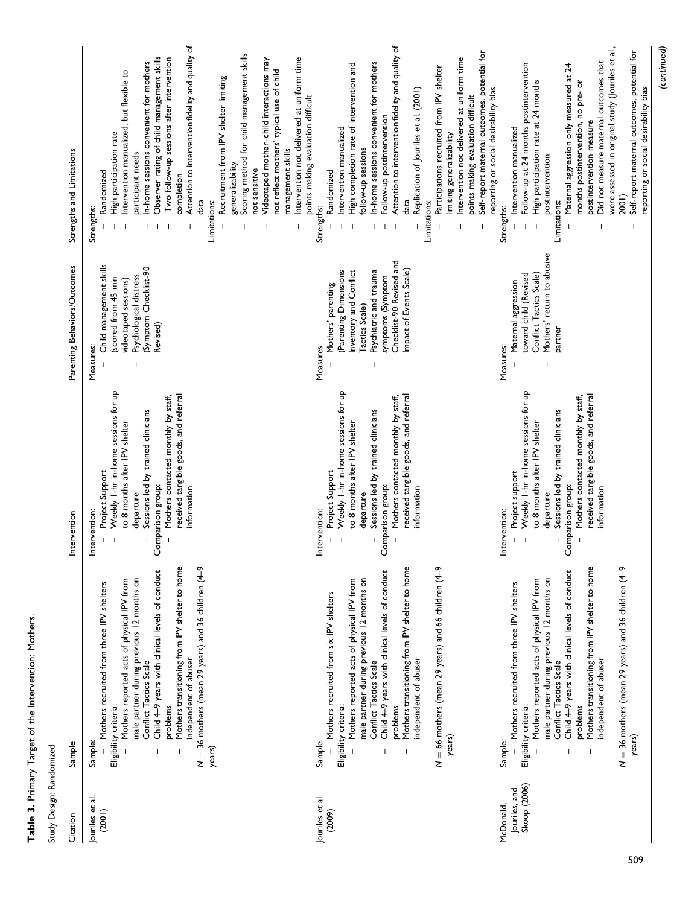| j |  |
|---|--|
| ĺ |  |
|   |  |
|   |  |

| Citation                                   | Sample                                                                                                                                                                                                                                                                                                                                                                                                          | <b>Itervention</b>                                                                                                                                                                                                                                                                                                              | Parenting Behaviors/Outcomes                                                                                                                                                                               | Strengths and Limitations                                                                                                                                                                                                                                                                                                                                                                                                                                                                                                                                                                                                                     |
|--------------------------------------------|-----------------------------------------------------------------------------------------------------------------------------------------------------------------------------------------------------------------------------------------------------------------------------------------------------------------------------------------------------------------------------------------------------------------|---------------------------------------------------------------------------------------------------------------------------------------------------------------------------------------------------------------------------------------------------------------------------------------------------------------------------------|------------------------------------------------------------------------------------------------------------------------------------------------------------------------------------------------------------|-----------------------------------------------------------------------------------------------------------------------------------------------------------------------------------------------------------------------------------------------------------------------------------------------------------------------------------------------------------------------------------------------------------------------------------------------------------------------------------------------------------------------------------------------------------------------------------------------------------------------------------------------|
| Jouriles et al.<br>(2001)                  | Mothers transitioning from IPV shelter to home<br>$N = 36$ mothers (mean 29 years) and 36 children (4-9<br>Child 4-9 years with clinical levels of conduct<br>male partner during previous 12 months on<br>Mothers reported acts of physical IPV from<br>Mothers recruited from three IPV shelters<br>independent of abuser<br>Conflict Tactics Scale<br>Eligibility criteria:<br>problems<br>Sample:<br>years) | Weekly I-hr in-home sessions for up<br>received tangible goods, and referral<br>Mothers contacted monthly by staff,<br>Sessions led by trained clinicians<br>to 8 months after IPV shelter<br>Project Support<br>comparison group:<br>information<br>departure<br>Intervention:<br>$\mathsf I$<br>$\overline{\phantom{a}}$<br>U | Child management skills<br>(Symptom Checklist-90<br>Psychological distress<br>(scored from 45 min<br>videotaped sessions)<br>Revised)<br>Measures:                                                         | Attention to intervention fidelity and quality of<br>Scoring method for child management skills<br>Observer rating of child management skills<br>Intervention not delivered at uniform time<br>Two follow-up sessions after intervention<br>Videotaped mother-child interactions may<br>In-home sessions convenient for mothers<br>not reflect mothers' typical use of child<br>Intervention manualized, but flexible to<br>Recruitment from IPV shelter limiting<br>High participation rate<br>management skills<br>participant needs<br>generalizability<br>not sensitive<br>Randomized<br>completion<br>data<br>Limitations:<br>Strengths: |
| Jouriles et al.<br>(2009)                  | Mothers transitioning from IPV shelter to home<br>$N = 66$ mothers (mean 29 years) and 66 children (4-9<br>Child 4-9 years with clinical levels of conduct<br>male partner during previous 12 months on<br>Mothers reported acts of physical IPV from<br>Mothers recruited from six IPV shelters<br>independent of abuser<br>Conflict Tactics Scale<br>Eligibility criteria:<br>problems<br>years)<br>Sample:   | Weekly I-hr in-home sessions for up<br>received tangible goods, and referral<br>Mothers contacted monthly by staff,<br>Sessions led by trained clinicians<br>to 8 months after IPV shelter<br>Project Support<br>Comparison group:<br>information<br>departure<br>Intervention:<br>$\overline{\phantom{a}}$<br>$\mathbf{I}$     | Checklist-90 Revised and<br>Impact of Events Scale)<br>(Parenting Dimensions<br>Psychiatric and trauma<br>Inventory and Conflict<br>symptoms (Symptom<br>Mothers' parenting<br>Tactics Scale)<br>Measures: | Attention to intervention fidelity and quality of<br>Self-report maternal outcomes, potential for<br>Intervention not delivered at uniform time<br>In-home sessions convenient for mothers<br>High completion rate of intervention and<br>Participations recruited from IPV shelter<br>Replication of Jouriles et al. (2001)<br>reporting or social desirability bias<br>points making evaluation difficult<br>points making evaluation difficult<br>Follow-up postintervention<br>Intervention manualized<br>limiting generalizability<br>follow-up sessions<br>Randomized<br>data<br>Limitations:<br>Strengths:                             |
| Skoop (2006)<br>Jouriles, and<br>McDonald, | Mothers transitioning from IPV shelter to home<br>$N = 36$ mothers (mean 29 years) and 36 children (4-9<br>Child 4-9 years with clinical levels of conduct<br>male partner during previous 12 months on<br>Mothers reported acts of physical IPV from<br>Mothers recruited from three IPV shelters<br>independent of abuser<br>Conflict Tactics Scale<br>problems<br>Eligibility criteria:<br>Sample:           | Weekly I-hr in-home sessions for up<br>received tangible goods, and referral<br>Mothers contacted monthly by staff,<br>Sessions led by trained clinicians<br>to 8 months after IPV shelter<br>Project support<br>Comparison group:<br>information<br>departure<br>Intervention:<br>$\overline{\phantom{a}}$                     | Mothers' return to abusive<br>Conflict Tactics Scale)<br>toward child (Revised<br>Maternal aggression<br>partner<br>Measures:                                                                              | were assessed in original study (Jouriles et al.,<br>Did not measure maternal outcomes that<br>Follow-up at 24 months postintervention<br>Maternal aggression only measured at 24<br>High participation rate at 24 months<br>months postintervention, no pre- or<br>postintervention measure<br>Intervention manualized<br>postintervention<br>2001)<br>Limitations:<br><b>Strengths:</b>                                                                                                                                                                                                                                                     |
| 509                                        | years)                                                                                                                                                                                                                                                                                                                                                                                                          |                                                                                                                                                                                                                                                                                                                                 |                                                                                                                                                                                                            | Self-report maternal outcomes, potential for<br>reporting or social desirability bias                                                                                                                                                                                                                                                                                                                                                                                                                                                                                                                                                         |

(continued)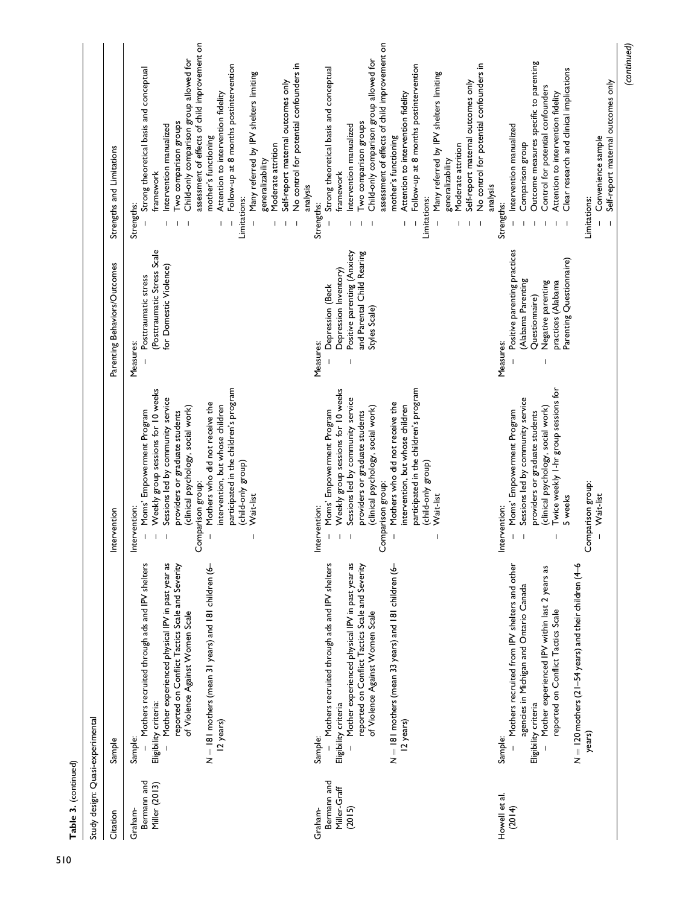| Table 3. (continued)                             |                                                                                                                                                                                                                                                                                                    |                                                                                                                                                                                                                                                                                                                                                                                                   |                                                                                                                                                           |                                                                                                                                                                                                                                                                                                                                                                                                                                                                                                                             |
|--------------------------------------------------|----------------------------------------------------------------------------------------------------------------------------------------------------------------------------------------------------------------------------------------------------------------------------------------------------|---------------------------------------------------------------------------------------------------------------------------------------------------------------------------------------------------------------------------------------------------------------------------------------------------------------------------------------------------------------------------------------------------|-----------------------------------------------------------------------------------------------------------------------------------------------------------|-----------------------------------------------------------------------------------------------------------------------------------------------------------------------------------------------------------------------------------------------------------------------------------------------------------------------------------------------------------------------------------------------------------------------------------------------------------------------------------------------------------------------------|
| Study design: Quasi-experimental                 |                                                                                                                                                                                                                                                                                                    |                                                                                                                                                                                                                                                                                                                                                                                                   |                                                                                                                                                           |                                                                                                                                                                                                                                                                                                                                                                                                                                                                                                                             |
| Citation                                         | Sample                                                                                                                                                                                                                                                                                             | Intervention                                                                                                                                                                                                                                                                                                                                                                                      | Parenting Behaviors/Outcomes                                                                                                                              | Strengths and Limitations                                                                                                                                                                                                                                                                                                                                                                                                                                                                                                   |
| Bermann and<br>Miller (2013)<br>Graham-          | Mothers recruited through ads and IPV shelters<br>Mother experienced physical IPV in past year as<br>reported on Conflict Tactics Scale and Severity<br>$N = 181$ mothers (mean 31 years) and 181 children (6–<br>of Violence Against Women Scale<br>Eligibility criteria:<br>12 years)<br>Sample: | participated in the children's program<br>Weekly group sessions for 10 weeks<br>Sessions led by community service<br>Mothers who did not receive the<br>intervention, but whose children<br>(clinical psychology, social work)<br>Moms' Empowerment Program<br>providers or graduate students<br>(child-only group)<br>Comparison group:<br>Wait-list<br>ntervention:<br>$\mathsf{I}$             | (Posttraumatic Stress Scale<br>for Domestic Violence)<br>Posttraumatic stress<br>Measures:                                                                | assessment of effects of child improvement on<br>Child-only comparison group allowed for<br>No control for potential confounders in<br>Follow-up at 8 months postintervention<br>Strong theoretical basis and conceptual<br>Many referred by IPV shelters limiting<br>Self-report maternal outcomes only<br>Attention to intervention fidelity<br>Two comparison groups<br>Intervention manualized<br>mother's functioning<br>Moderate attrition<br>generalizability<br>framework<br>analysis<br>Limitations:<br>Strengths: |
| Bermann and<br>Miller-Graff<br>(2015)<br>Graham- | Mothers recruited through ads and IPV shelters<br>Mother experienced physical IPV in past year as<br>reported on Conflict Tactics Scale and Severity<br>$N = 181$ mothers (mean 33 years) and 181 children (6–<br>of Violence Against Women Scale<br>Eligibility criteria<br>12 years)<br>Sample:  | participated in the children's program<br>Weekly group sessions for 10 weeks<br>Sessions led by community service<br>Mothers who did not receive the<br>intervention, but whose children<br>(clinical psychology, social work)<br>Moms' Empowerment Program<br>providers or graduate students<br>(child-only group)<br>Comparison group:<br>Wait-list<br>ntervention:<br>$\overline{\phantom{a}}$ | Positive parenting (Anxiety<br>and Parental Child Rearing<br>Depression Inventory)<br>Depression (Beck<br>Styles Scale)<br>Measures:                      | assessment of effects of child improvement on<br>Child-only comparison group allowed for<br>No control for potential confounders in<br>Follow-up at 8 months postintervention<br>Strong theoretical basis and conceptual<br>Many referred by IPV shelters limiting<br>Self-report maternal outcomes only<br>Attention to intervention fidelity<br>Two comparison groups<br>Intervention manualized<br>mother's functioning<br>Moderate attrition<br>generalizability<br>framework<br>analysis<br>Limitations:<br>Strengths: |
| Howell et al.<br>(2014)                          | Mothers recruited from IPV shelters and other<br>$N = 120$ mothers (21–54 years) and their children (4–6<br>Mother experienced IPV within last 2 years as<br>agencies in Michigan and Ontario Canada<br>reported on Conflict Tactics Scale<br>Eligibility criteria<br>years)<br>Sample:            | Twice weekly 1-hr group sessions for<br>Sessions led by community service<br>(clinical psychology, social work)<br>providers or graduate students<br>Moms' Empowerment Program<br>Comparison group:<br>Wait-list<br>5 weeks<br>ntervention:<br>1                                                                                                                                                  | Positive parenting practices<br>Parenting Questionnaire)<br>(Alabama Parenting<br>practices (Alabama<br>Negative parenting<br>Questionnaire)<br>Measures: | Outcome measures specific to parenting<br>Clear research and clinical implications<br>Self-report maternal outcomes only<br>Control for potential confounders<br>Attention to intervention fidelity<br>Intervention manualized<br>Convenience sample<br>Comparison group<br>Limitations:<br>Strengths:<br>$\overline{1}$                                                                                                                                                                                                    |

(continued)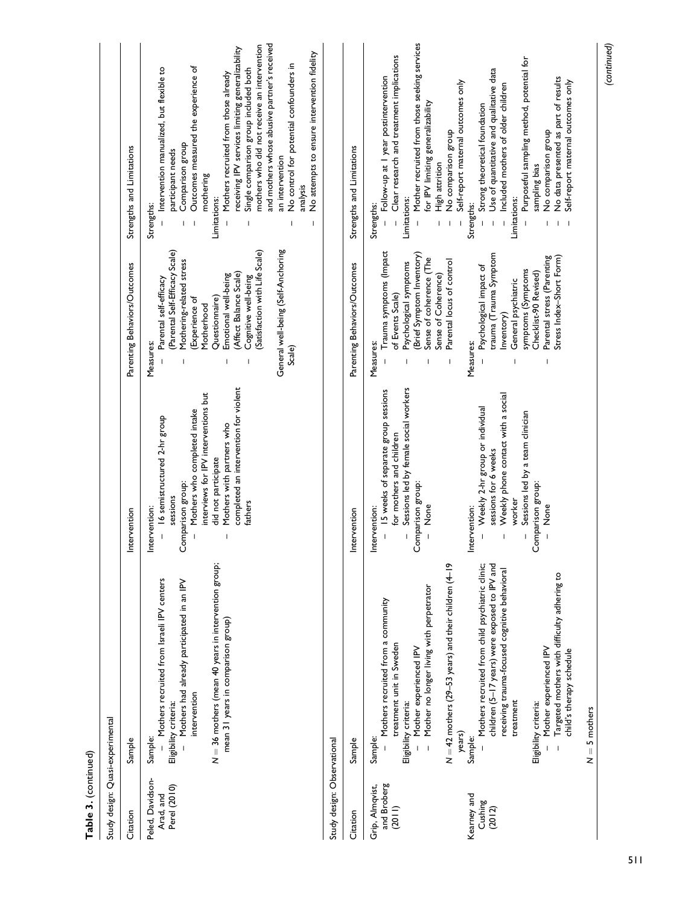| Ξ |  |
|---|--|
|   |  |
|   |  |
|   |  |

| š<br>i<br>ţ<br>ξ |
|------------------|
|                  |
| !<br>č           |
|                  |

| Study design: Quasi-experimental              |                                                                                                                                                                                                                                                  |                                                                                                                                                                                                                                                                  |                                                                                                                                                                                                                                                                                                                |                                                                                                                                                                                                                                                                                                                                                                                                                                                                                                                                                                            |
|-----------------------------------------------|--------------------------------------------------------------------------------------------------------------------------------------------------------------------------------------------------------------------------------------------------|------------------------------------------------------------------------------------------------------------------------------------------------------------------------------------------------------------------------------------------------------------------|----------------------------------------------------------------------------------------------------------------------------------------------------------------------------------------------------------------------------------------------------------------------------------------------------------------|----------------------------------------------------------------------------------------------------------------------------------------------------------------------------------------------------------------------------------------------------------------------------------------------------------------------------------------------------------------------------------------------------------------------------------------------------------------------------------------------------------------------------------------------------------------------------|
| Citation                                      | Sample                                                                                                                                                                                                                                           | Intervention                                                                                                                                                                                                                                                     | Parenting Behaviors/Outcomes                                                                                                                                                                                                                                                                                   | Strengths and Limitations                                                                                                                                                                                                                                                                                                                                                                                                                                                                                                                                                  |
| Peled, Davidson-<br>Perel (2010)<br>Arad, and | $N = 36$ mothers (mean 40 years in intervention group;<br>- Mothers recruited from Israeli IPV centers<br>- Mothers had already participated in an IPV<br>mean 31 years in comparison group)<br>intervention<br>Eligibility criteria:<br>Sample: | completed an intervention for violent<br>interviews for IPV interventions but<br>Mothers who completed intake<br>- 16 semistructured 2-hr group<br>Mothers with partners who<br>did not participate<br>Comparison group:<br>sessions<br>fathers<br>Intervention: | General well-being (Self-Anchoring<br>(Parental Self-Efficacy Scale)<br>(Satisfaction with Life Scale)<br>Mothering-related stress<br>(Affect Balance Scale)<br>Emotional well-being<br>Cognitive well-being<br>Parental self-efficacy<br>Questionnaire)<br>Experience of<br>Motherhood<br>Measures:<br>Scale) | and mothers whose abusive partner's received<br>mothers who did not receive an intervention<br>receiving IPV services limiting generalizability<br>No attempts to ensure intervention fidelity<br>No control for potential confounders in<br>- Intervention manualized, but flexible to<br>Outcomes measured the experience of<br>Single comparison group included both<br>Mothers recruited from those already<br>Comparison group<br>participant needs<br>an intervention<br>mothering<br>analysis<br>imitations:<br>Strengths:<br>$\overline{1}$<br>$\overline{1}$<br>Ī |

| Study design: Observational                                                  |                                                                                                                                                                                                                                                                                                                                                                                                                                                                                                                                                                  |                                                                                                                                                                                                                                                                                                                                                                                                                                        |                                                                                                                                                                                                                                                                                                                                                                                                                                                           |                                                                                                                                                                                                                                                                                                                                                                                                                                                                                                                                                                                                                                            |
|------------------------------------------------------------------------------|------------------------------------------------------------------------------------------------------------------------------------------------------------------------------------------------------------------------------------------------------------------------------------------------------------------------------------------------------------------------------------------------------------------------------------------------------------------------------------------------------------------------------------------------------------------|----------------------------------------------------------------------------------------------------------------------------------------------------------------------------------------------------------------------------------------------------------------------------------------------------------------------------------------------------------------------------------------------------------------------------------------|-----------------------------------------------------------------------------------------------------------------------------------------------------------------------------------------------------------------------------------------------------------------------------------------------------------------------------------------------------------------------------------------------------------------------------------------------------------|--------------------------------------------------------------------------------------------------------------------------------------------------------------------------------------------------------------------------------------------------------------------------------------------------------------------------------------------------------------------------------------------------------------------------------------------------------------------------------------------------------------------------------------------------------------------------------------------------------------------------------------------|
| Citation                                                                     | Sample                                                                                                                                                                                                                                                                                                                                                                                                                                                                                                                                                           | Intervention                                                                                                                                                                                                                                                                                                                                                                                                                           | Parenting Behaviors/Outcomes                                                                                                                                                                                                                                                                                                                                                                                                                              | Strengths and Limitations                                                                                                                                                                                                                                                                                                                                                                                                                                                                                                                                                                                                                  |
| and Broberg<br>Grip, Almqvist,<br>Kearney and<br>Cushing<br>(2011)<br>(2012) | $N = 42$ mothers (29–53 years) and their children (4–19<br>Mothers recruited from child psychiatric clinic;<br>children (5-17 years) were exposed to IPV and<br>receiving trauma-focused cognitive behavioral<br>- Targeted mothers with difficulty adhering to<br>Mother no longer living with perpetrator<br>- Mothers recruited from a community<br>treatment unit in Sweden<br>- Mother experienced IPV<br>Mother experienced IPV<br>child's therapy schedule<br>treatment<br>Eligibility criteria:<br>Eligibility criteria:<br>years)<br>Sample:<br>Sample: | Sessions led by female social workers<br>- 15 weeks of separate group sessions<br>Weekly phone contact with a social<br>Weekly 2-hr group or individual<br>Sessions led by a team clinician<br>for mothers and children<br>sessions for 6 weeks<br>Comparison group:<br>Comparison group:<br>worker<br>None<br>$-$ None<br>Intervention:<br>Intervention:<br>$\overline{1}$<br>$\overline{1}$<br>$\overline{1}$<br>$\overline{1}$<br>Ī | Trauma symptoms (Impact<br>(Brief Symptom Inventory)<br>trauma (Trauma Symptom<br>Parental stress (Parenting<br>Stress Index-Short Form)<br>Sense of coherence (The<br>Parental locus of control<br>Psychological symptoms<br>Psychological impact of<br>symptoms (Symptoms<br>Checklist-90 Revised)<br>Sense of Coherence)<br>General psychiatric<br>of Events Scale)<br>Inventory)<br>Measures:<br>Measures:<br>$\overline{1}$<br>I<br>I<br>I<br>I<br>I | Mother recruited from those seeking services<br>Clear research and treatment implications<br>Purposeful sampling method, potential for<br>Use of quantitative and qualitative data<br>- Follow-up at I year postintervention<br>No data presented as part of results<br>Self-report maternal outcomes only<br>Self-report maternal outcomes only<br>Included mothers of older children<br>for IPV limiting generalizability<br>Strong theoretical foundation<br>No comparison group<br>No comparison group<br>High attrition<br>sampling bias<br>Limitations:<br>Limitations:<br>Strengths:<br>Strengths:<br>$\overline{1}$<br>I<br>Ī<br>I |
|                                                                              | $M = 5$ mathers                                                                                                                                                                                                                                                                                                                                                                                                                                                                                                                                                  |                                                                                                                                                                                                                                                                                                                                                                                                                                        |                                                                                                                                                                                                                                                                                                                                                                                                                                                           |                                                                                                                                                                                                                                                                                                                                                                                                                                                                                                                                                                                                                                            |

(continued)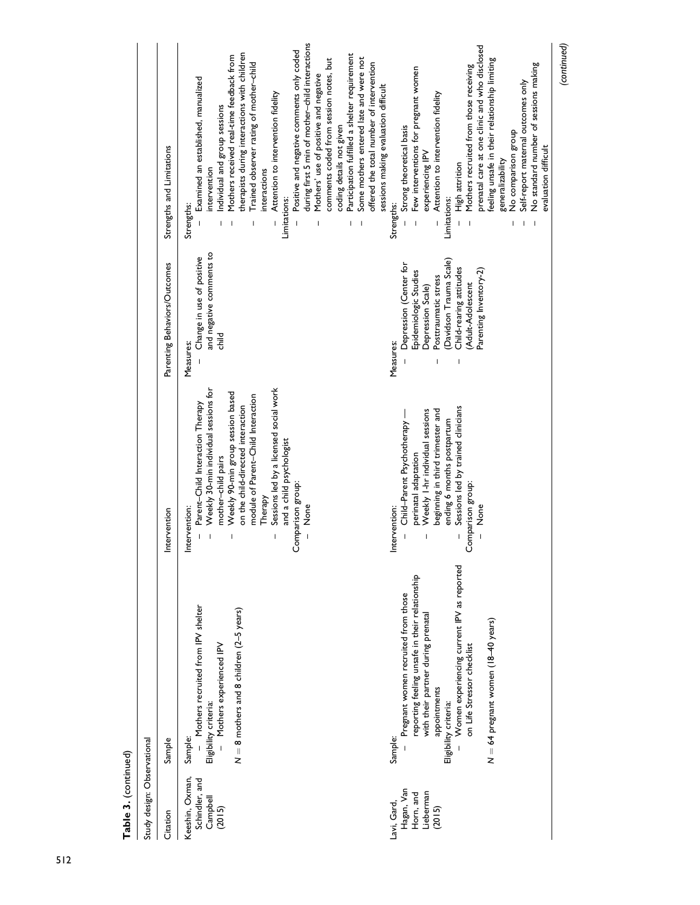| Channibal Company of Director                                 |                                                                                                                                                                                                                                                                                                      |                                                                                                                                                                                                                                                                                                                                                                                     |                                                                                                                                                                                                               |                                                                                                                                                                                                                                                                                                                                                                                                                                                                                                                                                                                                                                                                       |
|---------------------------------------------------------------|------------------------------------------------------------------------------------------------------------------------------------------------------------------------------------------------------------------------------------------------------------------------------------------------------|-------------------------------------------------------------------------------------------------------------------------------------------------------------------------------------------------------------------------------------------------------------------------------------------------------------------------------------------------------------------------------------|---------------------------------------------------------------------------------------------------------------------------------------------------------------------------------------------------------------|-----------------------------------------------------------------------------------------------------------------------------------------------------------------------------------------------------------------------------------------------------------------------------------------------------------------------------------------------------------------------------------------------------------------------------------------------------------------------------------------------------------------------------------------------------------------------------------------------------------------------------------------------------------------------|
| Study design: Observational                                   |                                                                                                                                                                                                                                                                                                      |                                                                                                                                                                                                                                                                                                                                                                                     |                                                                                                                                                                                                               |                                                                                                                                                                                                                                                                                                                                                                                                                                                                                                                                                                                                                                                                       |
| Citation                                                      | Sample                                                                                                                                                                                                                                                                                               | Intervention                                                                                                                                                                                                                                                                                                                                                                        | Parenting Behaviors/Outcomes                                                                                                                                                                                  | Strengths and Limitations                                                                                                                                                                                                                                                                                                                                                                                                                                                                                                                                                                                                                                             |
| Keeshin, Oxman,<br>Schindler, and<br>Campbell<br>(2015)       | Mothers recruited from IPV shelter<br>$N = 8$ mothers and 8 children (2-5 years)<br>Mothers experienced IPV<br>Eligibility criteria:<br>Sample:                                                                                                                                                      | Sessions led by a licensed social work<br>Weekly 30-min individual sessions for<br>Weekly 90-min group session based<br>module of Parent-Child Interaction<br>Parent-Child Interaction Therapy<br>on the child-directed interaction<br>and a child psychologist<br>mother-child pairs<br>Comparison group:<br>Therapy<br>None<br>Intervention:<br>T<br>$\mathbf{I}$<br>$\mathsf{I}$ | and negative comments to<br>Change in use of positive<br>dhild<br>Measures:                                                                                                                                   | during first 5 min of mother-child interactions<br>Positive and negative comments only coded<br>therapists during interactions with children<br>Participation fulfilled a shelter requirement<br>Mothers received real-time feedback from<br>Some mothers entered late and were not<br>comments coded from session notes, but<br>offered the total number of intervention<br>Trained observer rating of mother-child<br>Mothers' use of positive and negative<br>Examined an established, manualized<br>Attention to intervention fidelity<br>Individual and group sessions<br>coding details not given<br>intervention<br>interactions<br>Limitations:<br>Strengths: |
| Hagan, Van<br>Lieberman<br>Horn, and<br>Lavi, Gard,<br>(2015) | Women experiencing current IPV as reported<br>reporting feeling unsafe in their relationship<br>Pregnant women recruited from those<br>with their partner during prenatal<br>$N = 64$ pregnant women (18-40 years)<br>on Life Stressor checklist<br>appointments<br>Eligibility criteria:<br>Sample: | Sessions led by trained clinicians<br>beginning in third trimester and<br>Weekly I-hr individual sessions<br>ending 6 months postpartum<br>Child-Parent Psychotherapy<br>perinatal adaptation<br>Comparison group:<br>None<br>Intervention:                                                                                                                                         | (Davidson Trauma Scale)<br>Depression (Center for<br>Child-rearing attitudes<br>Parenting Inventory-2)<br>Epidemiologic Studies<br>Posttraumatic stress<br>Adult-Adolescent<br>Depression Scale)<br>Measures: | prenatal care at one clinic and who disclosed<br>feeling unsafe in their relationship limiting<br>No standard number of sessions making<br>Mothers recruited from those receiving<br>Few interventions for pregnant women<br>Self-report maternal outcomes only<br>sessions making evaluation difficult<br>Attention to intervention fidelity<br>Strong theoretical basis<br>No comparison group<br>evaluation difficult<br>experiencing IPV<br>generalizability<br>High attrition<br>Limitations:<br>Strengths:<br>T<br>$\overline{1}$<br>$\overline{\phantom{a}}$                                                                                                   |
|                                                               |                                                                                                                                                                                                                                                                                                      |                                                                                                                                                                                                                                                                                                                                                                                     |                                                                                                                                                                                                               | (continued)                                                                                                                                                                                                                                                                                                                                                                                                                                                                                                                                                                                                                                                           |

Table 3. (continued) Table 3. (continued)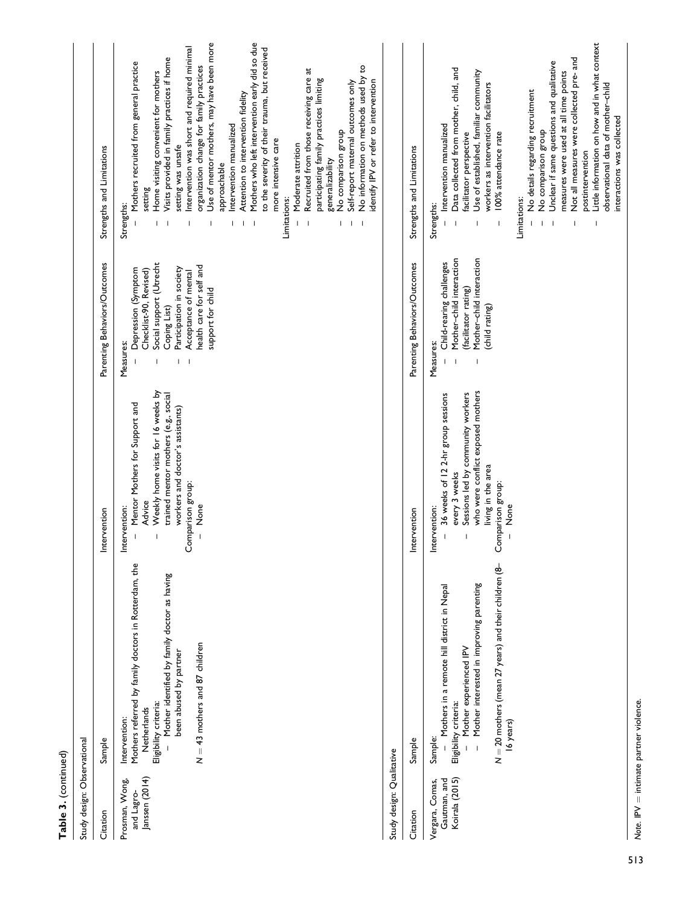| Study design: Observational<br>Janssen (2014)<br>Prosman, Wong,<br>and Lagro-<br>Citation |                                                                                                                                                                                                                              |                                                                                                                                                                                                                                                                 |                                                                                                                                                                                                            |                                                                                                                                                                                                                                                                                                                                                                                                                                                                                                                                                                                                                                                                                                                                                                                                                                    |
|-------------------------------------------------------------------------------------------|------------------------------------------------------------------------------------------------------------------------------------------------------------------------------------------------------------------------------|-----------------------------------------------------------------------------------------------------------------------------------------------------------------------------------------------------------------------------------------------------------------|------------------------------------------------------------------------------------------------------------------------------------------------------------------------------------------------------------|------------------------------------------------------------------------------------------------------------------------------------------------------------------------------------------------------------------------------------------------------------------------------------------------------------------------------------------------------------------------------------------------------------------------------------------------------------------------------------------------------------------------------------------------------------------------------------------------------------------------------------------------------------------------------------------------------------------------------------------------------------------------------------------------------------------------------------|
|                                                                                           |                                                                                                                                                                                                                              |                                                                                                                                                                                                                                                                 |                                                                                                                                                                                                            |                                                                                                                                                                                                                                                                                                                                                                                                                                                                                                                                                                                                                                                                                                                                                                                                                                    |
|                                                                                           | Sample                                                                                                                                                                                                                       | ntervention                                                                                                                                                                                                                                                     | Parenting Behaviors/Outcomes                                                                                                                                                                               | Strengths and Limitations                                                                                                                                                                                                                                                                                                                                                                                                                                                                                                                                                                                                                                                                                                                                                                                                          |
|                                                                                           | Mothers referred by family doctors in Rotterdam, the<br>Mother identified by family doctor as having<br>$N = 43$ mothers and 87 children<br>been abused by partner<br>Eligibility criteria:<br>Netherlands<br>Intervention:  | Weekly home visits for 16 weeks by<br>trained mentor mothers (e.g., social<br>Mentor Mothers for Support and<br>workers and doctor's assistants)<br>Comparison group:<br>Advice<br>None<br>ntervention:<br>$\begin{array}{c} \hline \end{array}$<br>$\mathsf I$ | Social support (Utrecht<br>health care for self and<br>Participation in society<br>Depression (Symptom<br>Checklist-90, Revised)<br>Acceptance of mental<br>support for child<br>Coping List)<br>Measures: | Use of mentor mothers, may have been more<br>Mothers who left intervention early did so due<br>to the severity of their trauma, but received<br>Intervention was short and required minimal<br>Visits provided in family practices if home<br>Mothers recruited from general practice<br>No information on methods used by to<br>organization change for family practices<br>Recruited from those receiving care at<br>Home visiting convenient for mothers<br>participating family practices limiting<br>identify IPV or refer to intervention<br>Self-report maternal outcomes only<br>Attention to intervention fidelity<br>Intervention manualized<br>No comparison group<br>more intensive care<br>Moderate attrition<br>setting was unsafe<br>generalizability<br>approachable<br>setting<br>Limitations:<br>Strengths:<br>T |
| Study design: Qualitative                                                                 |                                                                                                                                                                                                                              |                                                                                                                                                                                                                                                                 |                                                                                                                                                                                                            |                                                                                                                                                                                                                                                                                                                                                                                                                                                                                                                                                                                                                                                                                                                                                                                                                                    |
| Citation                                                                                  | Sample                                                                                                                                                                                                                       | ntervention                                                                                                                                                                                                                                                     | Parenting Behaviors/Outcomes                                                                                                                                                                               | Strengths and Limitations                                                                                                                                                                                                                                                                                                                                                                                                                                                                                                                                                                                                                                                                                                                                                                                                          |
| Koirala (2015)<br>Gautman, and<br>Vergara, Comas,                                         | $N = 20$ mothers (mean 27 years) and their children (8-<br>Mother interested in improving parenting<br>Mothers in a remote hill district in Nepal<br>Mother experienced IPV<br>Eligibility criteria:<br>16 years)<br>Sample: | who were conflict exposed mothers<br>Sessions led by community workers<br>36 weeks of 12 2-hr group sessions<br>living in the area<br>every 3 weeks<br>Comparison group:<br>None<br>ntervention:                                                                | Mother-child interaction<br>Mother-child interaction<br>Child-rearing challenges<br>(facilitator rating)<br>(child rating)<br>Measures:                                                                    | Little information on how and in what context<br>Not all measures were collected pre- and<br>Unclear if same questions and qualitative<br>Data collected from mother, child, and<br>Use of established, familiar community<br>measures were used at all time points<br>workers as intervention facilitators<br>observational data of mother-child<br>No details regarding recruitment<br>interactions was collected<br>Intervention manualized<br>No comparison group<br>100% attendance rate<br>facilitator perspective<br>postintervention<br>Limitations:<br>Strengths:<br>$\overline{\phantom{a}}$                                                                                                                                                                                                                             |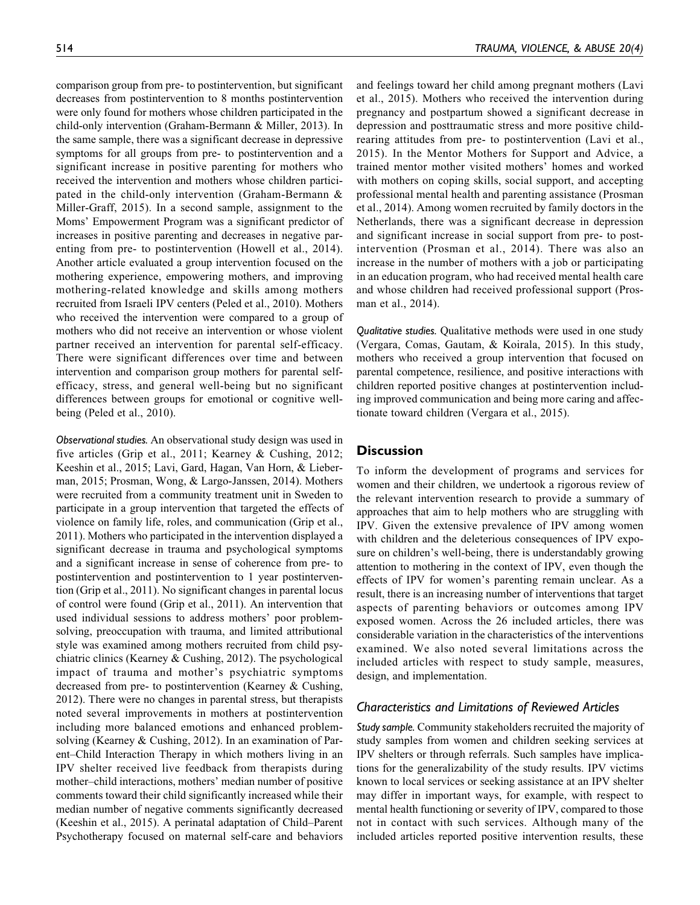comparison group from pre- to postintervention, but significant decreases from postintervention to 8 months postintervention were only found for mothers whose children participated in the child-only intervention (Graham-Bermann & Miller, 2013). In the same sample, there was a significant decrease in depressive symptoms for all groups from pre- to postintervention and a significant increase in positive parenting for mothers who received the intervention and mothers whose children participated in the child-only intervention (Graham-Bermann & Miller-Graff, 2015). In a second sample, assignment to the Moms' Empowerment Program was a significant predictor of increases in positive parenting and decreases in negative parenting from pre- to postintervention (Howell et al., 2014). Another article evaluated a group intervention focused on the mothering experience, empowering mothers, and improving mothering-related knowledge and skills among mothers recruited from Israeli IPV centers (Peled et al., 2010). Mothers who received the intervention were compared to a group of mothers who did not receive an intervention or whose violent partner received an intervention for parental self-efficacy. There were significant differences over time and between intervention and comparison group mothers for parental selfefficacy, stress, and general well-being but no significant differences between groups for emotional or cognitive wellbeing (Peled et al., 2010).

Observational studies. An observational study design was used in five articles (Grip et al., 2011; Kearney & Cushing, 2012; Keeshin et al., 2015; Lavi, Gard, Hagan, Van Horn, & Lieberman, 2015; Prosman, Wong, & Largo-Janssen, 2014). Mothers were recruited from a community treatment unit in Sweden to participate in a group intervention that targeted the effects of violence on family life, roles, and communication (Grip et al., 2011). Mothers who participated in the intervention displayed a significant decrease in trauma and psychological symptoms and a significant increase in sense of coherence from pre- to postintervention and postintervention to 1 year postintervention (Grip et al., 2011). No significant changes in parental locus of control were found (Grip et al., 2011). An intervention that used individual sessions to address mothers' poor problemsolving, preoccupation with trauma, and limited attributional style was examined among mothers recruited from child psychiatric clinics (Kearney & Cushing, 2012). The psychological impact of trauma and mother's psychiatric symptoms decreased from pre- to postintervention (Kearney & Cushing, 2012). There were no changes in parental stress, but therapists noted several improvements in mothers at postintervention including more balanced emotions and enhanced problemsolving (Kearney & Cushing, 2012). In an examination of Parent–Child Interaction Therapy in which mothers living in an IPV shelter received live feedback from therapists during mother–child interactions, mothers' median number of positive comments toward their child significantly increased while their median number of negative comments significantly decreased (Keeshin et al., 2015). A perinatal adaptation of Child–Parent Psychotherapy focused on maternal self-care and behaviors and feelings toward her child among pregnant mothers (Lavi et al., 2015). Mothers who received the intervention during pregnancy and postpartum showed a significant decrease in depression and posttraumatic stress and more positive childrearing attitudes from pre- to postintervention (Lavi et al., 2015). In the Mentor Mothers for Support and Advice, a trained mentor mother visited mothers' homes and worked with mothers on coping skills, social support, and accepting professional mental health and parenting assistance (Prosman et al., 2014). Among women recruited by family doctors in the Netherlands, there was a significant decrease in depression and significant increase in social support from pre- to postintervention (Prosman et al., 2014). There was also an increase in the number of mothers with a job or participating in an education program, who had received mental health care and whose children had received professional support (Prosman et al., 2014).

Qualitative studies. Qualitative methods were used in one study (Vergara, Comas, Gautam, & Koirala, 2015). In this study, mothers who received a group intervention that focused on parental competence, resilience, and positive interactions with children reported positive changes at postintervention including improved communication and being more caring and affectionate toward children (Vergara et al., 2015).

# **Discussion**

To inform the development of programs and services for women and their children, we undertook a rigorous review of the relevant intervention research to provide a summary of approaches that aim to help mothers who are struggling with IPV. Given the extensive prevalence of IPV among women with children and the deleterious consequences of IPV exposure on children's well-being, there is understandably growing attention to mothering in the context of IPV, even though the effects of IPV for women's parenting remain unclear. As a result, there is an increasing number of interventions that target aspects of parenting behaviors or outcomes among IPV exposed women. Across the 26 included articles, there was considerable variation in the characteristics of the interventions examined. We also noted several limitations across the included articles with respect to study sample, measures, design, and implementation.

# Characteristics and Limitations of Reviewed Articles

Study sample. Community stakeholders recruited the majority of study samples from women and children seeking services at IPV shelters or through referrals. Such samples have implications for the generalizability of the study results. IPV victims known to local services or seeking assistance at an IPV shelter may differ in important ways, for example, with respect to mental health functioning or severity of IPV, compared to those not in contact with such services. Although many of the included articles reported positive intervention results, these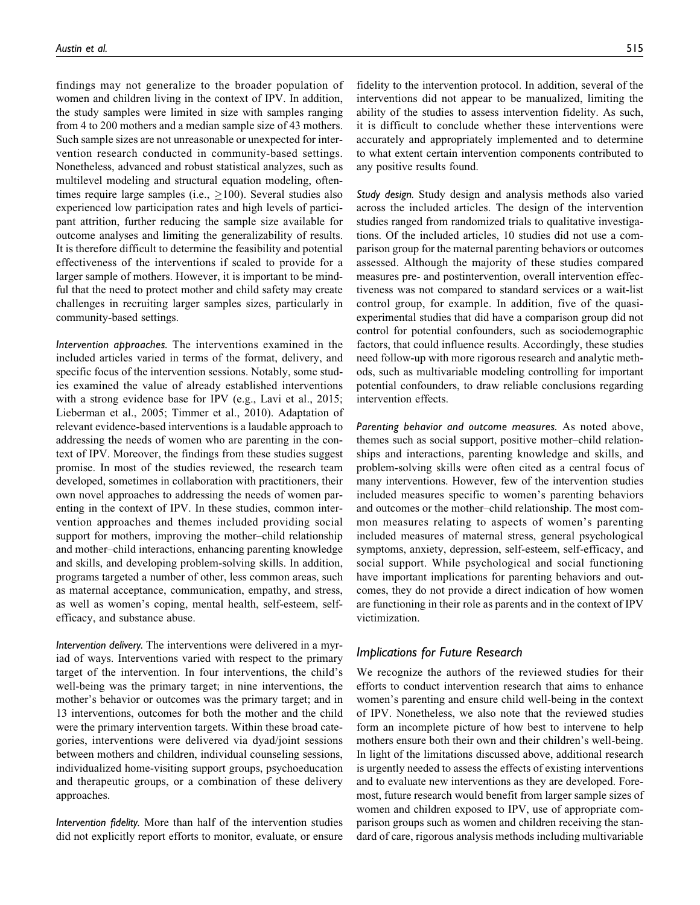findings may not generalize to the broader population of women and children living in the context of IPV. In addition, the study samples were limited in size with samples ranging from 4 to 200 mothers and a median sample size of 43 mothers. Such sample sizes are not unreasonable or unexpected for intervention research conducted in community-based settings. Nonetheless, advanced and robust statistical analyzes, such as multilevel modeling and structural equation modeling, oftentimes require large samples (i.e.,  $\geq$ 100). Several studies also experienced low participation rates and high levels of participant attrition, further reducing the sample size available for outcome analyses and limiting the generalizability of results. It is therefore difficult to determine the feasibility and potential effectiveness of the interventions if scaled to provide for a larger sample of mothers. However, it is important to be mindful that the need to protect mother and child safety may create challenges in recruiting larger samples sizes, particularly in community-based settings.

Intervention approaches. The interventions examined in the included articles varied in terms of the format, delivery, and specific focus of the intervention sessions. Notably, some studies examined the value of already established interventions with a strong evidence base for IPV (e.g., Lavi et al., 2015; Lieberman et al., 2005; Timmer et al., 2010). Adaptation of relevant evidence-based interventions is a laudable approach to addressing the needs of women who are parenting in the context of IPV. Moreover, the findings from these studies suggest promise. In most of the studies reviewed, the research team developed, sometimes in collaboration with practitioners, their own novel approaches to addressing the needs of women parenting in the context of IPV. In these studies, common intervention approaches and themes included providing social support for mothers, improving the mother–child relationship and mother–child interactions, enhancing parenting knowledge and skills, and developing problem-solving skills. In addition, programs targeted a number of other, less common areas, such as maternal acceptance, communication, empathy, and stress, as well as women's coping, mental health, self-esteem, selfefficacy, and substance abuse.

Intervention delivery. The interventions were delivered in a myriad of ways. Interventions varied with respect to the primary target of the intervention. In four interventions, the child's well-being was the primary target; in nine interventions, the mother's behavior or outcomes was the primary target; and in 13 interventions, outcomes for both the mother and the child were the primary intervention targets. Within these broad categories, interventions were delivered via dyad/joint sessions between mothers and children, individual counseling sessions, individualized home-visiting support groups, psychoeducation and therapeutic groups, or a combination of these delivery approaches.

Intervention fidelity. More than half of the intervention studies did not explicitly report efforts to monitor, evaluate, or ensure fidelity to the intervention protocol. In addition, several of the interventions did not appear to be manualized, limiting the ability of the studies to assess intervention fidelity. As such, it is difficult to conclude whether these interventions were accurately and appropriately implemented and to determine to what extent certain intervention components contributed to any positive results found.

Study design. Study design and analysis methods also varied across the included articles. The design of the intervention studies ranged from randomized trials to qualitative investigations. Of the included articles, 10 studies did not use a comparison group for the maternal parenting behaviors or outcomes assessed. Although the majority of these studies compared measures pre- and postintervention, overall intervention effectiveness was not compared to standard services or a wait-list control group, for example. In addition, five of the quasiexperimental studies that did have a comparison group did not control for potential confounders, such as sociodemographic factors, that could influence results. Accordingly, these studies need follow-up with more rigorous research and analytic methods, such as multivariable modeling controlling for important potential confounders, to draw reliable conclusions regarding intervention effects.

Parenting behavior and outcome measures. As noted above, themes such as social support, positive mother–child relationships and interactions, parenting knowledge and skills, and problem-solving skills were often cited as a central focus of many interventions. However, few of the intervention studies included measures specific to women's parenting behaviors and outcomes or the mother–child relationship. The most common measures relating to aspects of women's parenting included measures of maternal stress, general psychological symptoms, anxiety, depression, self-esteem, self-efficacy, and social support. While psychological and social functioning have important implications for parenting behaviors and outcomes, they do not provide a direct indication of how women are functioning in their role as parents and in the context of IPV victimization.

# Implications for Future Research

We recognize the authors of the reviewed studies for their efforts to conduct intervention research that aims to enhance women's parenting and ensure child well-being in the context of IPV. Nonetheless, we also note that the reviewed studies form an incomplete picture of how best to intervene to help mothers ensure both their own and their children's well-being. In light of the limitations discussed above, additional research is urgently needed to assess the effects of existing interventions and to evaluate new interventions as they are developed. Foremost, future research would benefit from larger sample sizes of women and children exposed to IPV, use of appropriate comparison groups such as women and children receiving the standard of care, rigorous analysis methods including multivariable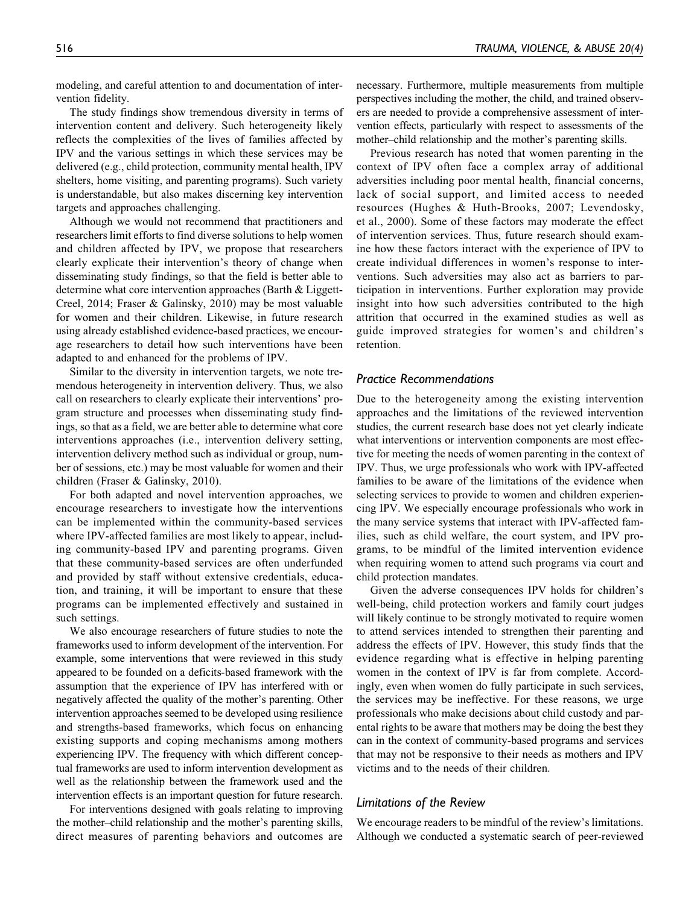modeling, and careful attention to and documentation of intervention fidelity.

The study findings show tremendous diversity in terms of intervention content and delivery. Such heterogeneity likely reflects the complexities of the lives of families affected by IPV and the various settings in which these services may be delivered (e.g., child protection, community mental health, IPV shelters, home visiting, and parenting programs). Such variety is understandable, but also makes discerning key intervention targets and approaches challenging.

Although we would not recommend that practitioners and researchers limit efforts to find diverse solutions to help women and children affected by IPV, we propose that researchers clearly explicate their intervention's theory of change when disseminating study findings, so that the field is better able to determine what core intervention approaches (Barth & Liggett-Creel, 2014; Fraser & Galinsky, 2010) may be most valuable for women and their children. Likewise, in future research using already established evidence-based practices, we encourage researchers to detail how such interventions have been adapted to and enhanced for the problems of IPV.

Similar to the diversity in intervention targets, we note tremendous heterogeneity in intervention delivery. Thus, we also call on researchers to clearly explicate their interventions' program structure and processes when disseminating study findings, so that as a field, we are better able to determine what core interventions approaches (i.e., intervention delivery setting, intervention delivery method such as individual or group, number of sessions, etc.) may be most valuable for women and their children (Fraser & Galinsky, 2010).

For both adapted and novel intervention approaches, we encourage researchers to investigate how the interventions can be implemented within the community-based services where IPV-affected families are most likely to appear, including community-based IPV and parenting programs. Given that these community-based services are often underfunded and provided by staff without extensive credentials, education, and training, it will be important to ensure that these programs can be implemented effectively and sustained in such settings.

We also encourage researchers of future studies to note the frameworks used to inform development of the intervention. For example, some interventions that were reviewed in this study appeared to be founded on a deficits-based framework with the assumption that the experience of IPV has interfered with or negatively affected the quality of the mother's parenting. Other intervention approaches seemed to be developed using resilience and strengths-based frameworks, which focus on enhancing existing supports and coping mechanisms among mothers experiencing IPV. The frequency with which different conceptual frameworks are used to inform intervention development as well as the relationship between the framework used and the intervention effects is an important question for future research.

For interventions designed with goals relating to improving the mother–child relationship and the mother's parenting skills, direct measures of parenting behaviors and outcomes are necessary. Furthermore, multiple measurements from multiple perspectives including the mother, the child, and trained observers are needed to provide a comprehensive assessment of intervention effects, particularly with respect to assessments of the mother–child relationship and the mother's parenting skills.

Previous research has noted that women parenting in the context of IPV often face a complex array of additional adversities including poor mental health, financial concerns, lack of social support, and limited access to needed resources (Hughes & Huth-Brooks, 2007; Levendosky, et al., 2000). Some of these factors may moderate the effect of intervention services. Thus, future research should examine how these factors interact with the experience of IPV to create individual differences in women's response to interventions. Such adversities may also act as barriers to participation in interventions. Further exploration may provide insight into how such adversities contributed to the high attrition that occurred in the examined studies as well as guide improved strategies for women's and children's retention.

# Practice Recommendations

Due to the heterogeneity among the existing intervention approaches and the limitations of the reviewed intervention studies, the current research base does not yet clearly indicate what interventions or intervention components are most effective for meeting the needs of women parenting in the context of IPV. Thus, we urge professionals who work with IPV-affected families to be aware of the limitations of the evidence when selecting services to provide to women and children experiencing IPV. We especially encourage professionals who work in the many service systems that interact with IPV-affected families, such as child welfare, the court system, and IPV programs, to be mindful of the limited intervention evidence when requiring women to attend such programs via court and child protection mandates.

Given the adverse consequences IPV holds for children's well-being, child protection workers and family court judges will likely continue to be strongly motivated to require women to attend services intended to strengthen their parenting and address the effects of IPV. However, this study finds that the evidence regarding what is effective in helping parenting women in the context of IPV is far from complete. Accordingly, even when women do fully participate in such services, the services may be ineffective. For these reasons, we urge professionals who make decisions about child custody and parental rights to be aware that mothers may be doing the best they can in the context of community-based programs and services that may not be responsive to their needs as mothers and IPV victims and to the needs of their children.

# Limitations of the Review

We encourage readers to be mindful of the review's limitations. Although we conducted a systematic search of peer-reviewed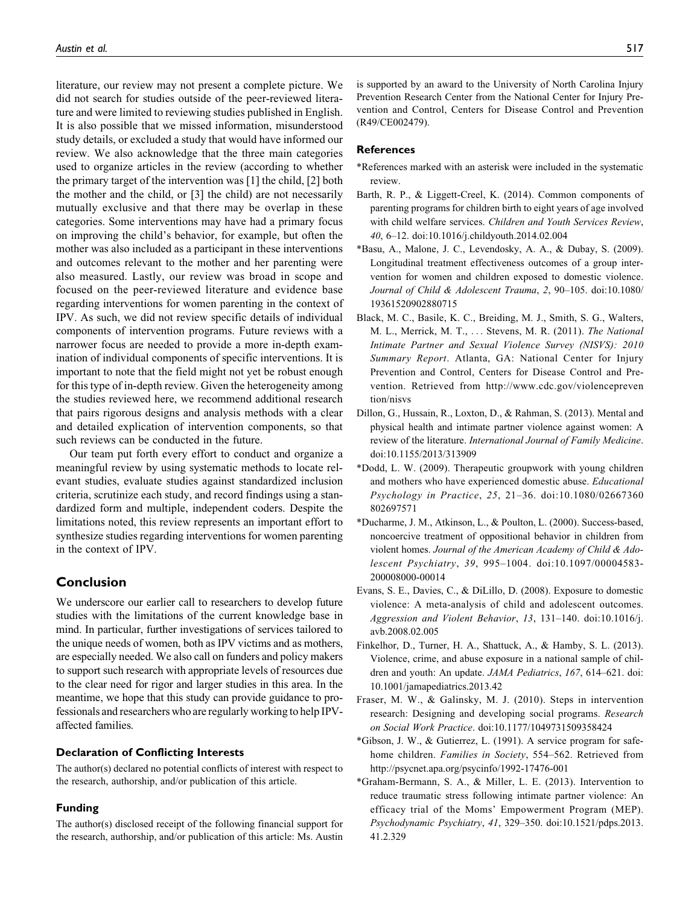literature, our review may not present a complete picture. We did not search for studies outside of the peer-reviewed literature and were limited to reviewing studies published in English. It is also possible that we missed information, misunderstood study details, or excluded a study that would have informed our review. We also acknowledge that the three main categories used to organize articles in the review (according to whether the primary target of the intervention was [1] the child, [2] both the mother and the child, or [3] the child) are not necessarily mutually exclusive and that there may be overlap in these categories. Some interventions may have had a primary focus on improving the child's behavior, for example, but often the mother was also included as a participant in these interventions and outcomes relevant to the mother and her parenting were also measured. Lastly, our review was broad in scope and focused on the peer-reviewed literature and evidence base regarding interventions for women parenting in the context of IPV. As such, we did not review specific details of individual components of intervention programs. Future reviews with a narrower focus are needed to provide a more in-depth examination of individual components of specific interventions. It is important to note that the field might not yet be robust enough for this type of in-depth review. Given the heterogeneity among the studies reviewed here, we recommend additional research that pairs rigorous designs and analysis methods with a clear and detailed explication of intervention components, so that such reviews can be conducted in the future.

Our team put forth every effort to conduct and organize a meaningful review by using systematic methods to locate relevant studies, evaluate studies against standardized inclusion criteria, scrutinize each study, and record findings using a standardized form and multiple, independent coders. Despite the limitations noted, this review represents an important effort to synthesize studies regarding interventions for women parenting in the context of IPV.

# Conclusion

We underscore our earlier call to researchers to develop future studies with the limitations of the current knowledge base in mind. In particular, further investigations of services tailored to the unique needs of women, both as IPV victims and as mothers, are especially needed. We also call on funders and policy makers to support such research with appropriate levels of resources due to the clear need for rigor and larger studies in this area. In the meantime, we hope that this study can provide guidance to professionals and researchers who are regularly working to help IPVaffected families.

## Declaration of Conflicting Interests

The author(s) declared no potential conflicts of interest with respect to the research, authorship, and/or publication of this article.

#### Funding

The author(s) disclosed receipt of the following financial support for the research, authorship, and/or publication of this article: Ms. Austin is supported by an award to the University of North Carolina Injury Prevention Research Center from the National Center for Injury Prevention and Control, Centers for Disease Control and Prevention (R49/CE002479).

#### References

- \*References marked with an asterisk were included in the systematic review.
- Barth, R. P., & Liggett-Creel, K. (2014). Common components of parenting programs for children birth to eight years of age involved with child welfare services. Children and Youth Services Review, 40, 6–12. doi:10.1016/j.childyouth.2014.02.004
- \*Basu, A., Malone, J. C., Levendosky, A. A., & Dubay, S. (2009). Longitudinal treatment effectiveness outcomes of a group intervention for women and children exposed to domestic violence. Journal of Child & Adolescent Trauma, 2, 90–105. doi:10.1080/ 19361520902880715
- Black, M. C., Basile, K. C., Breiding, M. J., Smith, S. G., Walters, M. L., Merrick, M. T., ... Stevens, M. R. (2011). The National Intimate Partner and Sexual Violence Survey (NISVS): 2010 Summary Report. Atlanta, GA: National Center for Injury Prevention and Control, Centers for Disease Control and Prevention. Retrieved from [http://www.cdc.gov/violencepreven](http://www.cdc.gov/violenceprevention/nisvs) [tion/nisvs](http://www.cdc.gov/violenceprevention/nisvs)
- Dillon, G., Hussain, R., Loxton, D., & Rahman, S. (2013). Mental and physical health and intimate partner violence against women: A review of the literature. International Journal of Family Medicine. doi:10.1155/2013/313909
- \*Dodd, L. W. (2009). Therapeutic groupwork with young children and mothers who have experienced domestic abuse. Educational Psychology in Practice, 25, 21–36. doi:10.1080/02667360 802697571
- \*Ducharme, J. M., Atkinson, L., & Poulton, L. (2000). Success-based, noncoercive treatment of oppositional behavior in children from violent homes. Journal of the American Academy of Child & Adolescent Psychiatry, 39, 995–1004. doi:10.1097/00004583- 200008000-00014
- Evans, S. E., Davies, C., & DiLillo, D. (2008). Exposure to domestic violence: A meta-analysis of child and adolescent outcomes. Aggression and Violent Behavior, 13, 131–140. doi:10.1016/j. avb.2008.02.005
- Finkelhor, D., Turner, H. A., Shattuck, A., & Hamby, S. L. (2013). Violence, crime, and abuse exposure in a national sample of children and youth: An update. JAMA Pediatrics, 167, 614-621. doi: 10.1001/jamapediatrics.2013.42
- Fraser, M. W., & Galinsky, M. J. (2010). Steps in intervention research: Designing and developing social programs. Research on Social Work Practice. doi:10.1177/1049731509358424
- \*Gibson, J. W., & Gutierrez, L. (1991). A service program for safehome children. Families in Society, 554-562. Retrieved from <http://psycnet.apa.org/psycinfo/1992-17476-001>
- \*Graham-Bermann, S. A., & Miller, L. E. (2013). Intervention to reduce traumatic stress following intimate partner violence: An efficacy trial of the Moms' Empowerment Program (MEP). Psychodynamic Psychiatry, 41, 329–350. doi:10.1521/pdps.2013. 41.2.329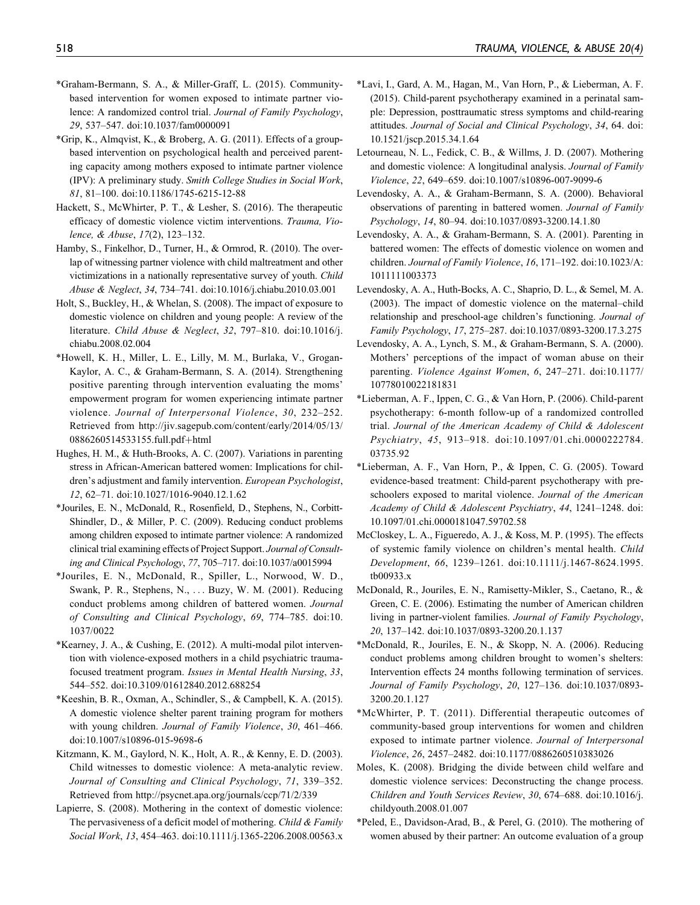- \*Graham-Bermann, S. A., & Miller-Graff, L. (2015). Communitybased intervention for women exposed to intimate partner violence: A randomized control trial. Journal of Family Psychology, 29, 537–547. doi:10.1037/fam0000091
- \*Grip, K., Almqvist, K., & Broberg, A. G. (2011). Effects of a groupbased intervention on psychological health and perceived parenting capacity among mothers exposed to intimate partner violence (IPV): A preliminary study. Smith College Studies in Social Work, 81, 81–100. doi:10.1186/1745-6215-12-88
- Hackett, S., McWhirter, P. T., & Lesher, S. (2016). The therapeutic efficacy of domestic violence victim interventions. Trauma, Violence, & Abuse, 17(2), 123–132.
- Hamby, S., Finkelhor, D., Turner, H., & Ormrod, R. (2010). The overlap of witnessing partner violence with child maltreatment and other victimizations in a nationally representative survey of youth. Child Abuse & Neglect, 34, 734–741. doi:10.1016/j.chiabu.2010.03.001
- Holt, S., Buckley, H., & Whelan, S. (2008). The impact of exposure to domestic violence on children and young people: A review of the literature. Child Abuse & Neglect, 32, 797–810. doi:10.1016/j. chiabu.2008.02.004
- \*Howell, K. H., Miller, L. E., Lilly, M. M., Burlaka, V., Grogan-Kaylor, A. C., & Graham-Bermann, S. A. (2014). Strengthening positive parenting through intervention evaluating the moms' empowerment program for women experiencing intimate partner violence. Journal of Interpersonal Violence, 30, 232–252. Retrieved from [http://jiv.sagepub.com/content/early/2014/05/13/](http://jiv.sagepub.com/content/early/2014/05/13/0886260514533155.full.pdf+html) [0886260514533155.full.pdf](http://jiv.sagepub.com/content/early/2014/05/13/0886260514533155.full.pdf+html)+[html](http://jiv.sagepub.com/content/early/2014/05/13/0886260514533155.full.pdf+html)
- Hughes, H. M., & Huth-Brooks, A. C. (2007). Variations in parenting stress in African-American battered women: Implications for children's adjustment and family intervention. European Psychologist, 12, 62–71. doi:10.1027/1016-9040.12.1.62
- \*Jouriles, E. N., McDonald, R., Rosenfield, D., Stephens, N., Corbitt-Shindler, D., & Miller, P. C. (2009). Reducing conduct problems among children exposed to intimate partner violence: A randomized clinical trial examining effects of Project Support. Journal of Consulting and Clinical Psychology, 77, 705–717. doi:10.1037/a0015994
- \*Jouriles, E. N., McDonald, R., Spiller, L., Norwood, W. D., Swank, P. R., Stephens, N., ... Buzy, W. M. (2001). Reducing conduct problems among children of battered women. Journal of Consulting and Clinical Psychology, 69, 774–785. doi:10. 1037/0022
- \*Kearney, J. A., & Cushing, E. (2012). A multi-modal pilot intervention with violence-exposed mothers in a child psychiatric traumafocused treatment program. Issues in Mental Health Nursing, 33, 544–552. doi:10.3109/01612840.2012.688254
- \*Keeshin, B. R., Oxman, A., Schindler, S., & Campbell, K. A. (2015). A domestic violence shelter parent training program for mothers with young children. Journal of Family Violence, 30, 461–466. doi:10.1007/s10896-015-9698-6
- Kitzmann, K. M., Gaylord, N. K., Holt, A. R., & Kenny, E. D. (2003). Child witnesses to domestic violence: A meta-analytic review. Journal of Consulting and Clinical Psychology, 71, 339–352. Retrieved from<http://psycnet.apa.org/journals/ccp/71/2/339>
- Lapierre, S. (2008). Mothering in the context of domestic violence: The pervasiveness of a deficit model of mothering. Child & Family Social Work, 13, 454–463. doi:10.1111/j.1365-2206.2008.00563.x
- \*Lavi, I., Gard, A. M., Hagan, M., Van Horn, P., & Lieberman, A. F. (2015). Child-parent psychotherapy examined in a perinatal sample: Depression, posttraumatic stress symptoms and child-rearing attitudes. Journal of Social and Clinical Psychology, 34, 64. doi: 10.1521/jscp.2015.34.1.64
- Letourneau, N. L., Fedick, C. B., & Willms, J. D. (2007). Mothering and domestic violence: A longitudinal analysis. Journal of Family Violence, 22, 649–659. doi:10.1007/s10896-007-9099-6
- Levendosky, A. A., & Graham-Bermann, S. A. (2000). Behavioral observations of parenting in battered women. Journal of Family Psychology, 14, 80–94. doi:10.1037/0893-3200.14.1.80
- Levendosky, A. A., & Graham-Bermann, S. A. (2001). Parenting in battered women: The effects of domestic violence on women and children. Journal of Family Violence, 16, 171–192. doi:10.1023/A: 1011111003373
- Levendosky, A. A., Huth-Bocks, A. C., Shaprio, D. L., & Semel, M. A. (2003). The impact of domestic violence on the maternal–child relationship and preschool-age children's functioning. Journal of Family Psychology, 17, 275–287. doi:10.1037/0893-3200.17.3.275
- Levendosky, A. A., Lynch, S. M., & Graham-Bermann, S. A. (2000). Mothers' perceptions of the impact of woman abuse on their parenting. Violence Against Women, 6, 247–271. doi:10.1177/ 10778010022181831
- \*Lieberman, A. F., Ippen, C. G., & Van Horn, P. (2006). Child-parent psychotherapy: 6-month follow-up of a randomized controlled trial. Journal of the American Academy of Child & Adolescent Psychiatry, 45, 913–918. doi:10.1097/01.chi.0000222784. 03735.92
- \*Lieberman, A. F., Van Horn, P., & Ippen, C. G. (2005). Toward evidence-based treatment: Child-parent psychotherapy with preschoolers exposed to marital violence. Journal of the American Academy of Child & Adolescent Psychiatry, 44, 1241–1248. doi: 10.1097/01.chi.0000181047.59702.58
- McCloskey, L. A., Figueredo, A. J., & Koss, M. P. (1995). The effects of systemic family violence on children's mental health. Child Development, 66, 1239–1261. doi:10.1111/j.1467-8624.1995. tb00933.x
- McDonald, R., Jouriles, E. N., Ramisetty-Mikler, S., Caetano, R., & Green, C. E. (2006). Estimating the number of American children living in partner-violent families. Journal of Family Psychology, 20, 137–142. doi:10.1037/0893-3200.20.1.137
- \*McDonald, R., Jouriles, E. N., & Skopp, N. A. (2006). Reducing conduct problems among children brought to women's shelters: Intervention effects 24 months following termination of services. Journal of Family Psychology, 20, 127–136. doi:10.1037/0893- 3200.20.1.127
- \*McWhirter, P. T. (2011). Differential therapeutic outcomes of community-based group interventions for women and children exposed to intimate partner violence. Journal of Interpersonal Violence, 26, 2457–2482. doi:10.1177/0886260510383026
- Moles, K. (2008). Bridging the divide between child welfare and domestic violence services: Deconstructing the change process. Children and Youth Services Review, 30, 674–688. doi:10.1016/j. childyouth.2008.01.007
- \*Peled, E., Davidson-Arad, B., & Perel, G. (2010). The mothering of women abused by their partner: An outcome evaluation of a group